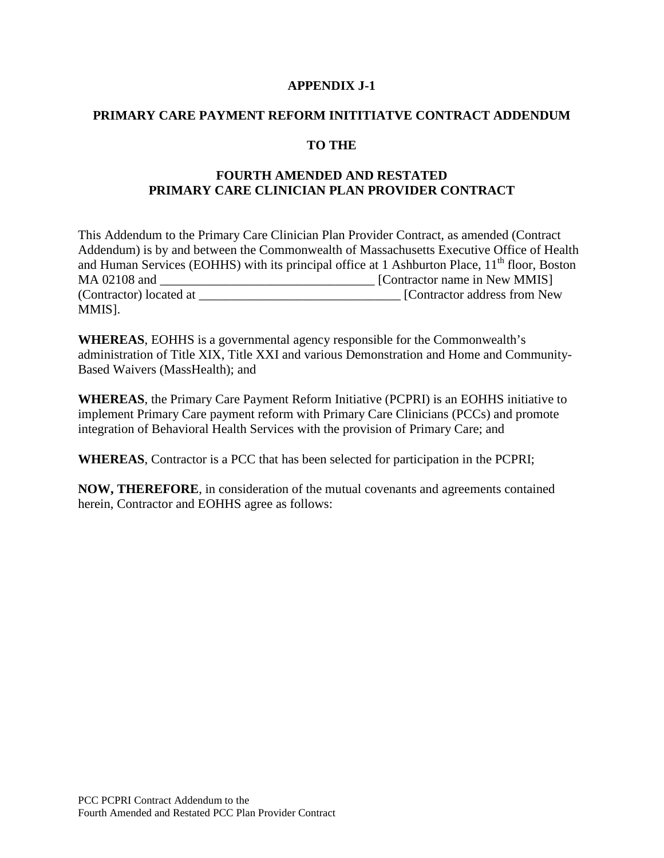#### **APPENDIX J-1**

#### **PRIMARY CARE PAYMENT REFORM INITITIATVE CONTRACT ADDENDUM**

### **TO THE**

### **FOURTH AMENDED AND RESTATED PRIMARY CARE CLINICIAN PLAN PROVIDER CONTRACT**

This Addendum to the Primary Care Clinician Plan Provider Contract, as amended (Contract Addendum) is by and between the Commonwealth of Massachusetts Executive Office of Health and Human Services (EOHHS) with its principal office at 1 Ashburton Place,  $11<sup>th</sup>$  floor, Boston MA 02108 and \_\_\_\_\_\_\_\_\_\_\_\_\_\_\_\_\_\_\_\_\_\_\_\_\_\_\_\_\_\_\_\_\_ [Contractor name in New MMIS] (Contractor) located at <br>
[Contractor address from New MMIS].

**WHEREAS**, EOHHS is a governmental agency responsible for the Commonwealth's administration of Title XIX, Title XXI and various Demonstration and Home and Community-Based Waivers (MassHealth); and

**WHEREAS**, the Primary Care Payment Reform Initiative (PCPRI) is an EOHHS initiative to implement Primary Care payment reform with Primary Care Clinicians (PCCs) and promote integration of Behavioral Health Services with the provision of Primary Care; and

**WHEREAS**, Contractor is a PCC that has been selected for participation in the PCPRI;

**NOW, THEREFORE**, in consideration of the mutual covenants and agreements contained herein, Contractor and EOHHS agree as follows: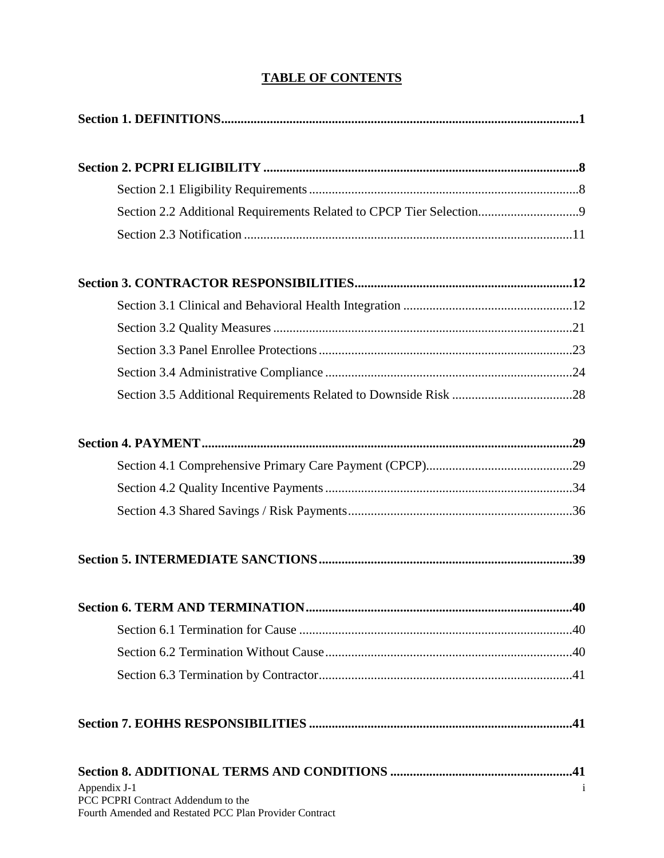### **TABLE OF CONTENTS**

| Section 2.2 Additional Requirements Related to CPCP Tier Selection |  |
|--------------------------------------------------------------------|--|
|                                                                    |  |
|                                                                    |  |
|                                                                    |  |
|                                                                    |  |
|                                                                    |  |
|                                                                    |  |
|                                                                    |  |
|                                                                    |  |
|                                                                    |  |
|                                                                    |  |
|                                                                    |  |
|                                                                    |  |
|                                                                    |  |
|                                                                    |  |
|                                                                    |  |
|                                                                    |  |
|                                                                    |  |
| Appendix J-1<br>PCC PCPRI Contract Addendum to the                 |  |

Fourth Amended and Restated PCC Plan Provider Contract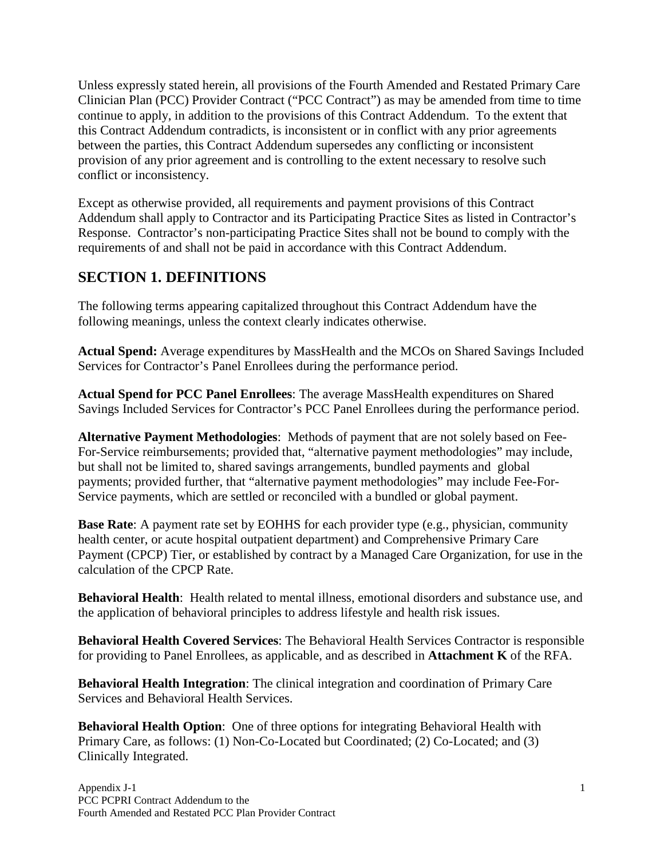Unless expressly stated herein, all provisions of the Fourth Amended and Restated Primary Care Clinician Plan (PCC) Provider Contract ("PCC Contract") as may be amended from time to time continue to apply, in addition to the provisions of this Contract Addendum. To the extent that this Contract Addendum contradicts, is inconsistent or in conflict with any prior agreements between the parties, this Contract Addendum supersedes any conflicting or inconsistent provision of any prior agreement and is controlling to the extent necessary to resolve such conflict or inconsistency.

Except as otherwise provided, all requirements and payment provisions of this Contract Addendum shall apply to Contractor and its Participating Practice Sites as listed in Contractor's Response. Contractor's non-participating Practice Sites shall not be bound to comply with the requirements of and shall not be paid in accordance with this Contract Addendum.

## <span id="page-3-0"></span>**SECTION 1. DEFINITIONS**

The following terms appearing capitalized throughout this Contract Addendum have the following meanings, unless the context clearly indicates otherwise.

**Actual Spend:** Average expenditures by MassHealth and the MCOs on Shared Savings Included Services for Contractor's Panel Enrollees during the performance period.

**Actual Spend for PCC Panel Enrollees**: The average MassHealth expenditures on Shared Savings Included Services for Contractor's PCC Panel Enrollees during the performance period.

**Alternative Payment Methodologies**: Methods of payment that are not solely based on Fee-For-Service reimbursements; provided that, "alternative payment methodologies" may include, but shall not be limited to, shared savings arrangements, bundled payments and global payments; provided further, that "alternative payment methodologies" may include Fee-For-Service payments, which are settled or reconciled with a bundled or global payment.

**Base Rate**: A payment rate set by EOHHS for each provider type (e.g., physician, community health center, or acute hospital outpatient department) and Comprehensive Primary Care Payment (CPCP) Tier, or established by contract by a Managed Care Organization, for use in the calculation of the CPCP Rate.

**Behavioral Health**: Health related to mental illness, emotional disorders and substance use, and the application of behavioral principles to address lifestyle and health risk issues.

**Behavioral Health Covered Services**: The Behavioral Health Services Contractor is responsible for providing to Panel Enrollees, as applicable, and as described in **Attachment K** of the RFA.

**Behavioral Health Integration**: The clinical integration and coordination of Primary Care Services and Behavioral Health Services.

**Behavioral Health Option**: One of three options for integrating Behavioral Health with Primary Care, as follows: (1) Non-Co-Located but Coordinated; (2) Co-Located; and (3) Clinically Integrated.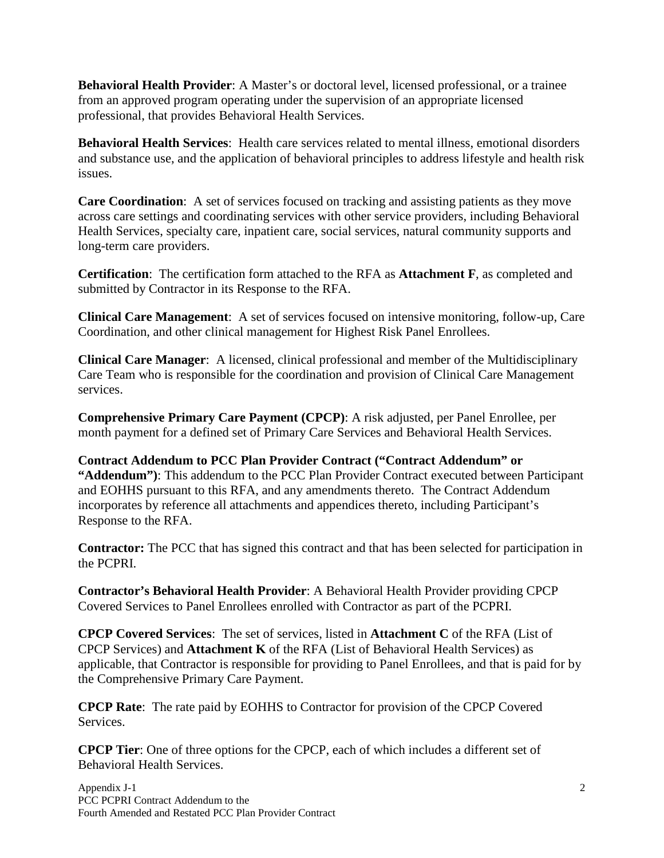**Behavioral Health Provider**: A Master's or doctoral level, licensed professional, or a trainee from an approved program operating under the supervision of an appropriate licensed professional, that provides Behavioral Health Services.

**Behavioral Health Services**: Health care services related to mental illness, emotional disorders and substance use, and the application of behavioral principles to address lifestyle and health risk issues.

**Care Coordination**: A set of services focused on tracking and assisting patients as they move across care settings and coordinating services with other service providers, including Behavioral Health Services, specialty care, inpatient care, social services, natural community supports and long-term care providers.

**Certification**: The certification form attached to the RFA as **Attachment F**, as completed and submitted by Contractor in its Response to the RFA.

**Clinical Care Management**: A set of services focused on intensive monitoring, follow-up, Care Coordination, and other clinical management for Highest Risk Panel Enrollees.

**Clinical Care Manager**: A licensed, clinical professional and member of the Multidisciplinary Care Team who is responsible for the coordination and provision of Clinical Care Management services.

**Comprehensive Primary Care Payment (CPCP)**: A risk adjusted, per Panel Enrollee, per month payment for a defined set of Primary Care Services and Behavioral Health Services.

**Contract Addendum to PCC Plan Provider Contract ("Contract Addendum" or "Addendum")**: This addendum to the PCC Plan Provider Contract executed between Participant and EOHHS pursuant to this RFA, and any amendments thereto. The Contract Addendum incorporates by reference all attachments and appendices thereto, including Participant's Response to the RFA.

**Contractor:** The PCC that has signed this contract and that has been selected for participation in the PCPRI.

**Contractor's Behavioral Health Provider**: A Behavioral Health Provider providing CPCP Covered Services to Panel Enrollees enrolled with Contractor as part of the PCPRI.

**CPCP Covered Services**: The set of services, listed in **Attachment C** of the RFA (List of CPCP Services) and **Attachment K** of the RFA (List of Behavioral Health Services) as applicable, that Contractor is responsible for providing to Panel Enrollees, and that is paid for by the Comprehensive Primary Care Payment.

**CPCP Rate**: The rate paid by EOHHS to Contractor for provision of the CPCP Covered Services.

**CPCP Tier**: One of three options for the CPCP, each of which includes a different set of Behavioral Health Services.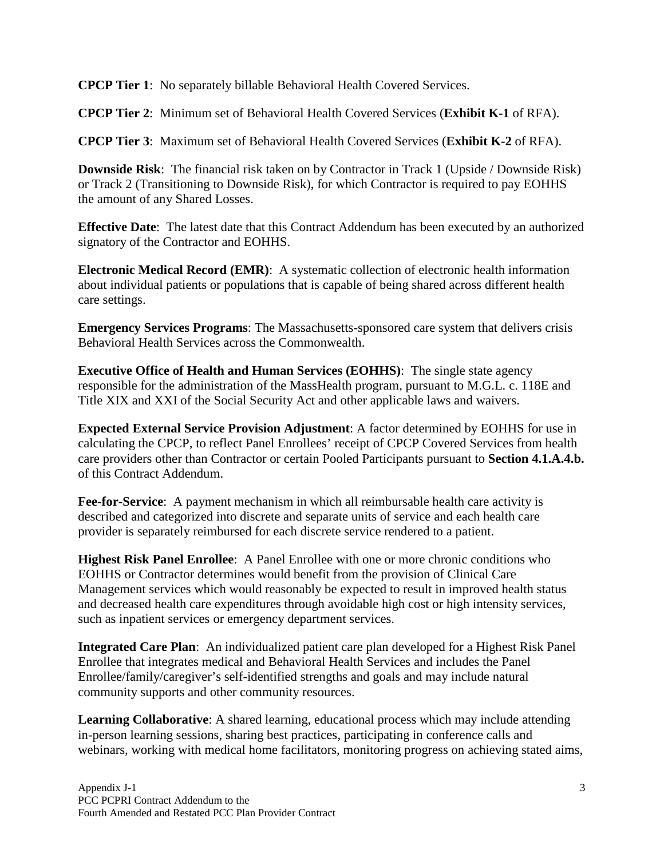**CPCP Tier 1**: No separately billable Behavioral Health Covered Services.

**CPCP Tier 2**: Minimum set of Behavioral Health Covered Services (**Exhibit K-1** of RFA).

**CPCP Tier 3**: Maximum set of Behavioral Health Covered Services (**Exhibit K-2** of RFA).

**Downside Risk**: The financial risk taken on by Contractor in Track 1 (Upside / Downside Risk) or Track 2 (Transitioning to Downside Risk), for which Contractor is required to pay EOHHS the amount of any Shared Losses.

**Effective Date**: The latest date that this Contract Addendum has been executed by an authorized signatory of the Contractor and EOHHS.

**Electronic Medical Record (EMR)**: A systematic collection of electronic health information about individual patients or populations that is capable of being shared across different health care settings.

**Emergency Services Programs**: The Massachusetts-sponsored care system that delivers crisis Behavioral Health Services across the Commonwealth.

**Executive Office of Health and Human Services (EOHHS)**: The single state agency responsible for the administration of the MassHealth program, pursuant to M.G.L. c. 118E and Title XIX and XXI of the Social Security Act and other applicable laws and waivers.

**Expected External Service Provision Adjustment**: A factor determined by EOHHS for use in calculating the CPCP, to reflect Panel Enrollees' receipt of CPCP Covered Services from health care providers other than Contractor or certain Pooled Participants pursuant to **Section 4.1.A.4.b.** of this Contract Addendum.

**Fee-for-Service**: A payment mechanism in which all reimbursable health care activity is described and categorized into discrete and separate units of service and each health care provider is separately reimbursed for each discrete service rendered to a patient.

**Highest Risk Panel Enrollee**: A Panel Enrollee with one or more chronic conditions who EOHHS or Contractor determines would benefit from the provision of Clinical Care Management services which would reasonably be expected to result in improved health status and decreased health care expenditures through avoidable high cost or high intensity services, such as inpatient services or emergency department services.

**Integrated Care Plan**: An individualized patient care plan developed for a Highest Risk Panel Enrollee that integrates medical and Behavioral Health Services and includes the Panel Enrollee/family/caregiver's self-identified strengths and goals and may include natural community supports and other community resources.

**Learning Collaborative**: A shared learning, educational process which may include attending in-person learning sessions, sharing best practices, participating in conference calls and webinars, working with medical home facilitators, monitoring progress on achieving stated aims,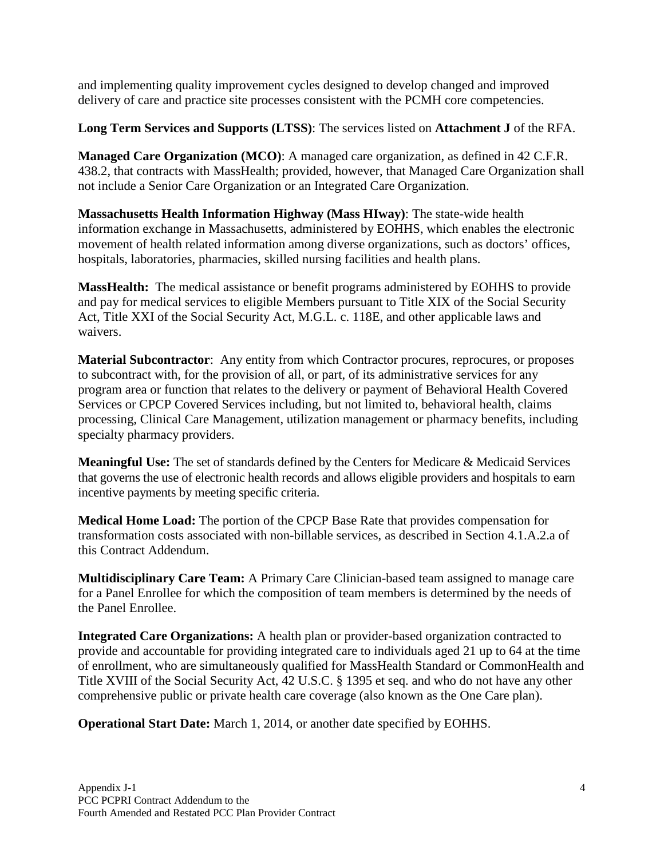and implementing quality improvement cycles designed to develop changed and improved delivery of care and practice site processes consistent with the PCMH core competencies.

**Long Term Services and Supports (LTSS)**: The services listed on **Attachment J** of the RFA.

**Managed Care Organization (MCO)**: A managed care organization, as defined in 42 C.F.R. 438.2, that contracts with MassHealth; provided, however, that Managed Care Organization shall not include a Senior Care Organization or an Integrated Care Organization.

**Massachusetts Health Information Highway (Mass HIway)**: The state-wide health information exchange in Massachusetts, administered by EOHHS, which enables the electronic movement of health related information among diverse organizations, such as doctors' offices, hospitals, laboratories, pharmacies, skilled nursing facilities and health plans.

**MassHealth:** The medical assistance or benefit programs administered by EOHHS to provide and pay for medical services to eligible Members pursuant to Title XIX of the Social Security Act, Title XXI of the Social Security Act, M.G.L. c. 118E, and other applicable laws and waivers.

**Material Subcontractor**: Any entity from which Contractor procures, reprocures, or proposes to subcontract with, for the provision of all, or part, of its administrative services for any program area or function that relates to the delivery or payment of Behavioral Health Covered Services or CPCP Covered Services including, but not limited to, behavioral health, claims processing, Clinical Care Management, utilization management or pharmacy benefits, including specialty pharmacy providers.

**Meaningful Use:** The set of standards defined by the Centers for Medicare & Medicaid Services that governs the use of electronic health records and allows eligible providers and hospitals to earn incentive payments by meeting specific criteria.

**Medical Home Load:** The portion of the CPCP Base Rate that provides compensation for transformation costs associated with non-billable services, as described in Section 4.1.A.2.a of this Contract Addendum.

**Multidisciplinary Care Team:** A Primary Care Clinician-based team assigned to manage care for a Panel Enrollee for which the composition of team members is determined by the needs of the Panel Enrollee.

**Integrated Care Organizations:** A health plan or provider-based organization contracted to provide and accountable for providing integrated care to individuals aged 21 up to 64 at the time of enrollment, who are simultaneously qualified for MassHealth Standard or CommonHealth and Title XVIII of the Social Security Act, 42 U.S.C. § 1395 et seq. and who do not have any other comprehensive public or private health care coverage (also known as the One Care plan).

**Operational Start Date:** March 1, 2014, or another date specified by EOHHS.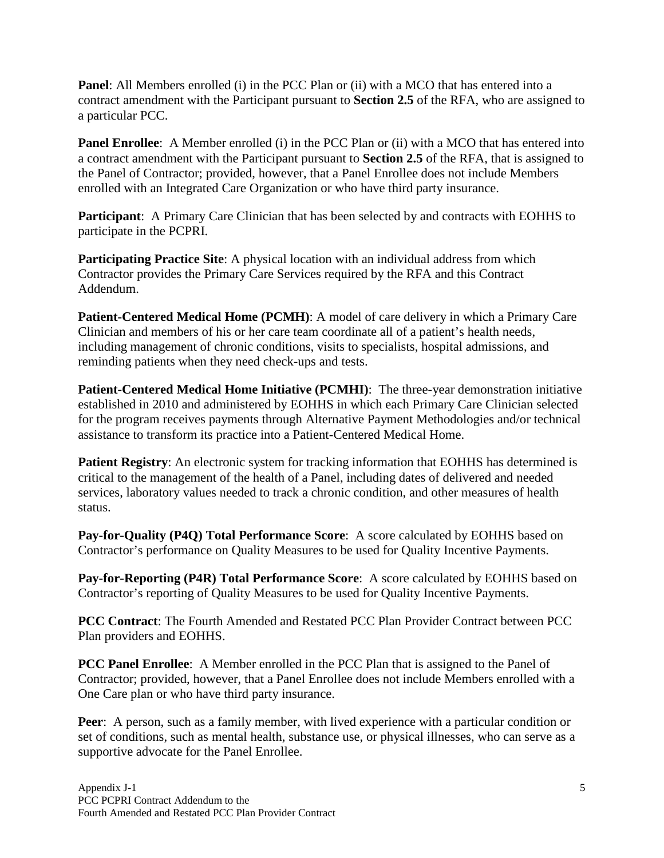**Panel**: All Members enrolled (i) in the PCC Plan or (ii) with a MCO that has entered into a contract amendment with the Participant pursuant to **Section 2.5** of the RFA, who are assigned to a particular PCC.

**Panel Enrollee**: A Member enrolled (i) in the PCC Plan or (ii) with a MCO that has entered into a contract amendment with the Participant pursuant to **Section 2.5** of the RFA, that is assigned to the Panel of Contractor; provided, however, that a Panel Enrollee does not include Members enrolled with an Integrated Care Organization or who have third party insurance.

**Participant**: A Primary Care Clinician that has been selected by and contracts with EOHHS to participate in the PCPRI.

**Participating Practice Site:** A physical location with an individual address from which Contractor provides the Primary Care Services required by the RFA and this Contract Addendum.

**Patient-Centered Medical Home (PCMH)**: A model of care delivery in which a Primary Care Clinician and members of his or her care team coordinate all of a patient's health needs, including management of chronic conditions, visits to specialists, hospital admissions, and reminding patients when they need check-ups and tests.

**Patient-Centered Medical Home Initiative (PCMHI)**: The three-year demonstration initiative established in 2010 and administered by EOHHS in which each Primary Care Clinician selected for the program receives payments through Alternative Payment Methodologies and/or technical assistance to transform its practice into a Patient-Centered Medical Home.

**Patient Registry:** An electronic system for tracking information that EOHHS has determined is critical to the management of the health of a Panel, including dates of delivered and needed services, laboratory values needed to track a chronic condition, and other measures of health status.

**Pay-for-Quality (P4Q) Total Performance Score**: A score calculated by EOHHS based on Contractor's performance on Quality Measures to be used for Quality Incentive Payments.

**Pay-for-Reporting (P4R) Total Performance Score**: A score calculated by EOHHS based on Contractor's reporting of Quality Measures to be used for Quality Incentive Payments.

**PCC Contract**: The Fourth Amended and Restated PCC Plan Provider Contract between PCC Plan providers and EOHHS.

**PCC Panel Enrollee**: A Member enrolled in the PCC Plan that is assigned to the Panel of Contractor; provided, however, that a Panel Enrollee does not include Members enrolled with a One Care plan or who have third party insurance.

**Peer**: A person, such as a family member, with lived experience with a particular condition or set of conditions, such as mental health, substance use, or physical illnesses, who can serve as a supportive advocate for the Panel Enrollee.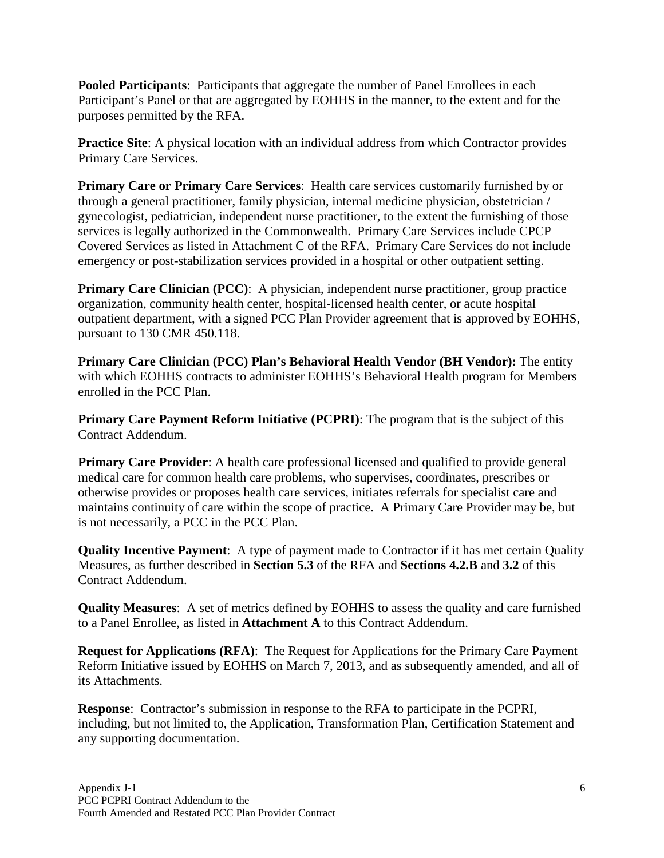**Pooled Participants**: Participants that aggregate the number of Panel Enrollees in each Participant's Panel or that are aggregated by EOHHS in the manner, to the extent and for the purposes permitted by the RFA.

**Practice Site**: A physical location with an individual address from which Contractor provides Primary Care Services.

**Primary Care or Primary Care Services**: Health care services customarily furnished by or through a general practitioner, family physician, internal medicine physician, obstetrician / gynecologist, pediatrician, independent nurse practitioner, to the extent the furnishing of those services is legally authorized in the Commonwealth. Primary Care Services include CPCP Covered Services as listed in Attachment C of the RFA. Primary Care Services do not include emergency or post-stabilization services provided in a hospital or other outpatient setting.

**Primary Care Clinician (PCC):** A physician, independent nurse practitioner, group practice organization, community health center, hospital-licensed health center, or acute hospital outpatient department, with a signed PCC Plan Provider agreement that is approved by EOHHS, pursuant to 130 CMR 450.118.

**Primary Care Clinician (PCC) Plan's Behavioral Health Vendor (BH Vendor):** The entity with which EOHHS contracts to administer EOHHS's Behavioral Health program for Members enrolled in the PCC Plan.

**Primary Care Payment Reform Initiative (PCPRI):** The program that is the subject of this Contract Addendum.

**Primary Care Provider:** A health care professional licensed and qualified to provide general medical care for common health care problems, who supervises, coordinates, prescribes or otherwise provides or proposes health care services, initiates referrals for specialist care and maintains continuity of care within the scope of practice. A Primary Care Provider may be, but is not necessarily, a PCC in the PCC Plan.

**Quality Incentive Payment**: A type of payment made to Contractor if it has met certain Quality Measures, as further described in **Section 5.3** of the RFA and **Sections 4.2.B** and **3.2** of this Contract Addendum.

**Quality Measures**: A set of metrics defined by EOHHS to assess the quality and care furnished to a Panel Enrollee, as listed in **Attachment A** to this Contract Addendum.

**Request for Applications (RFA)**: The Request for Applications for the Primary Care Payment Reform Initiative issued by EOHHS on March 7, 2013, and as subsequently amended, and all of its Attachments.

**Response**: Contractor's submission in response to the RFA to participate in the PCPRI, including, but not limited to, the Application, Transformation Plan, Certification Statement and any supporting documentation.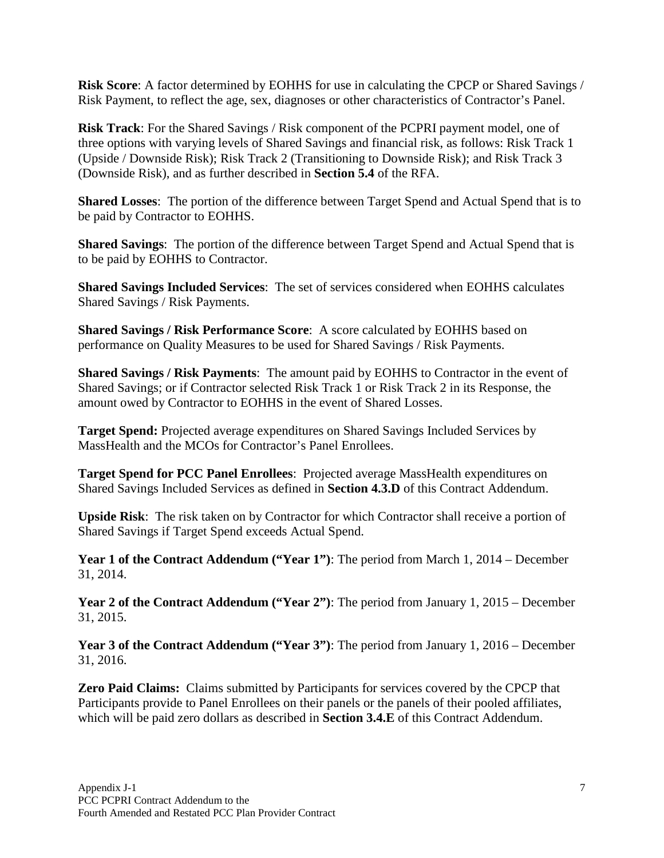**Risk Score**: A factor determined by EOHHS for use in calculating the CPCP or Shared Savings / Risk Payment, to reflect the age, sex, diagnoses or other characteristics of Contractor's Panel.

**Risk Track**: For the Shared Savings / Risk component of the PCPRI payment model, one of three options with varying levels of Shared Savings and financial risk, as follows: Risk Track 1 (Upside / Downside Risk); Risk Track 2 (Transitioning to Downside Risk); and Risk Track 3 (Downside Risk), and as further described in **Section 5.4** of the RFA.

**Shared Losses**: The portion of the difference between Target Spend and Actual Spend that is to be paid by Contractor to EOHHS.

**Shared Savings**: The portion of the difference between Target Spend and Actual Spend that is to be paid by EOHHS to Contractor.

**Shared Savings Included Services**: The set of services considered when EOHHS calculates Shared Savings / Risk Payments.

**Shared Savings / Risk Performance Score**: A score calculated by EOHHS based on performance on Quality Measures to be used for Shared Savings / Risk Payments.

**Shared Savings / Risk Payments**: The amount paid by EOHHS to Contractor in the event of Shared Savings; or if Contractor selected Risk Track 1 or Risk Track 2 in its Response, the amount owed by Contractor to EOHHS in the event of Shared Losses.

**Target Spend:** Projected average expenditures on Shared Savings Included Services by MassHealth and the MCOs for Contractor's Panel Enrollees.

**Target Spend for PCC Panel Enrollees**: Projected average MassHealth expenditures on Shared Savings Included Services as defined in **Section 4.3.D** of this Contract Addendum.

**Upside Risk**: The risk taken on by Contractor for which Contractor shall receive a portion of Shared Savings if Target Spend exceeds Actual Spend.

**Year 1 of the Contract Addendum ("Year 1")**: The period from March 1, 2014 – December 31, 2014.

**Year 2 of the Contract Addendum ("Year 2")**: The period from January 1, 2015 – December 31, 2015.

**Year 3 of the Contract Addendum ("Year 3")**: The period from January 1, 2016 – December 31, 2016.

**Zero Paid Claims:** Claims submitted by Participants for services covered by the CPCP that Participants provide to Panel Enrollees on their panels or the panels of their pooled affiliates, which will be paid zero dollars as described in **Section 3.4.E** of this Contract Addendum.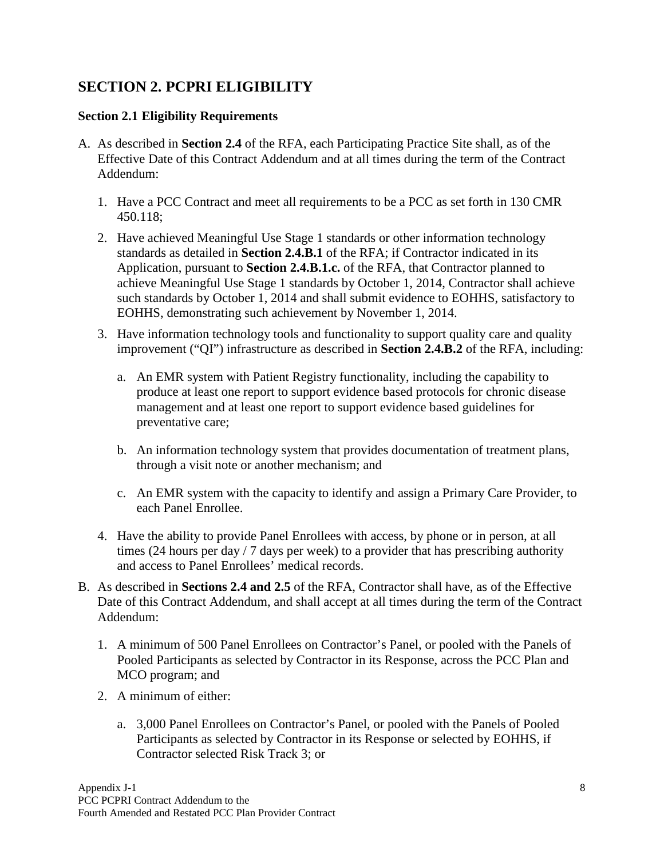## <span id="page-10-0"></span>**SECTION 2. PCPRI ELIGIBILITY**

### <span id="page-10-1"></span>**Section 2.1 Eligibility Requirements**

- A. As described in **Section 2.4** of the RFA, each Participating Practice Site shall, as of the Effective Date of this Contract Addendum and at all times during the term of the Contract Addendum:
	- 1. Have a PCC Contract and meet all requirements to be a PCC as set forth in 130 CMR 450.118;
	- 2. Have achieved Meaningful Use Stage 1 standards or other information technology standards as detailed in **Section 2.4.B.1** of the RFA; if Contractor indicated in its Application, pursuant to **Section 2.4.B.1.c.** of the RFA, that Contractor planned to achieve Meaningful Use Stage 1 standards by October 1, 2014, Contractor shall achieve such standards by October 1, 2014 and shall submit evidence to EOHHS, satisfactory to EOHHS, demonstrating such achievement by November 1, 2014.
	- 3. Have information technology tools and functionality to support quality care and quality improvement ("QI") infrastructure as described in **Section 2.4.B.2** of the RFA, including:
		- a. An EMR system with Patient Registry functionality, including the capability to produce at least one report to support evidence based protocols for chronic disease management and at least one report to support evidence based guidelines for preventative care;
		- b. An information technology system that provides documentation of treatment plans, through a visit note or another mechanism; and
		- c. An EMR system with the capacity to identify and assign a Primary Care Provider, to each Panel Enrollee.
	- 4. Have the ability to provide Panel Enrollees with access, by phone or in person, at all times (24 hours per day / 7 days per week) to a provider that has prescribing authority and access to Panel Enrollees' medical records.
- B. As described in **Sections 2.4 and 2.5** of the RFA, Contractor shall have, as of the Effective Date of this Contract Addendum, and shall accept at all times during the term of the Contract Addendum:
	- 1. A minimum of 500 Panel Enrollees on Contractor's Panel, or pooled with the Panels of Pooled Participants as selected by Contractor in its Response, across the PCC Plan and MCO program; and
	- 2. A minimum of either:
		- a. 3,000 Panel Enrollees on Contractor's Panel, or pooled with the Panels of Pooled Participants as selected by Contractor in its Response or selected by EOHHS, if Contractor selected Risk Track 3; or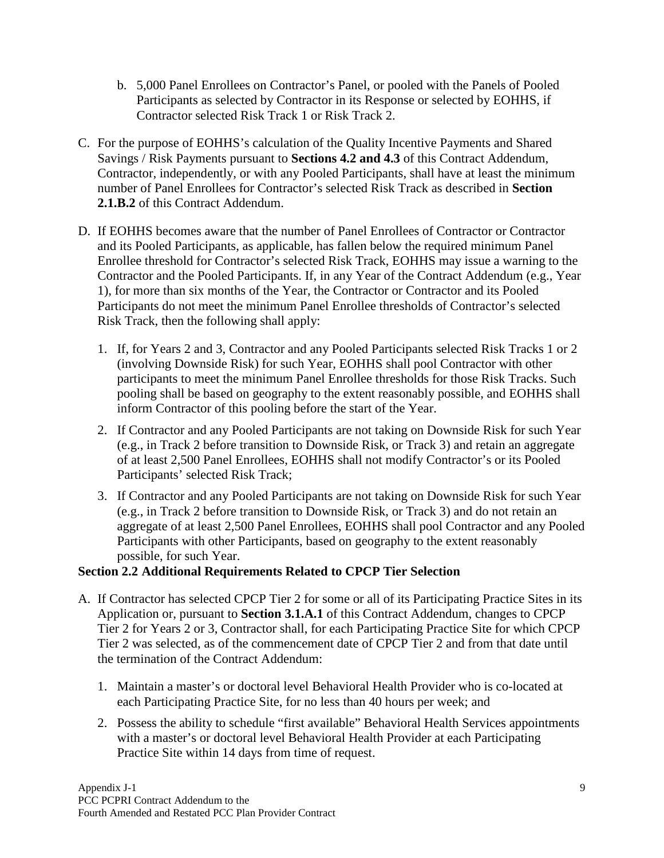- b. 5,000 Panel Enrollees on Contractor's Panel, or pooled with the Panels of Pooled Participants as selected by Contractor in its Response or selected by EOHHS, if Contractor selected Risk Track 1 or Risk Track 2.
- C. For the purpose of EOHHS's calculation of the Quality Incentive Payments and Shared Savings / Risk Payments pursuant to **Sections 4.2 and 4.3** of this Contract Addendum, Contractor, independently, or with any Pooled Participants, shall have at least the minimum number of Panel Enrollees for Contractor's selected Risk Track as described in **Section 2.1.B.2** of this Contract Addendum.
- D. If EOHHS becomes aware that the number of Panel Enrollees of Contractor or Contractor and its Pooled Participants, as applicable, has fallen below the required minimum Panel Enrollee threshold for Contractor's selected Risk Track, EOHHS may issue a warning to the Contractor and the Pooled Participants. If, in any Year of the Contract Addendum (e.g., Year 1), for more than six months of the Year, the Contractor or Contractor and its Pooled Participants do not meet the minimum Panel Enrollee thresholds of Contractor's selected Risk Track, then the following shall apply:
	- 1. If, for Years 2 and 3, Contractor and any Pooled Participants selected Risk Tracks 1 or 2 (involving Downside Risk) for such Year, EOHHS shall pool Contractor with other participants to meet the minimum Panel Enrollee thresholds for those Risk Tracks. Such pooling shall be based on geography to the extent reasonably possible, and EOHHS shall inform Contractor of this pooling before the start of the Year.
	- 2. If Contractor and any Pooled Participants are not taking on Downside Risk for such Year (e.g., in Track 2 before transition to Downside Risk, or Track 3) and retain an aggregate of at least 2,500 Panel Enrollees, EOHHS shall not modify Contractor's or its Pooled Participants' selected Risk Track;
	- 3. If Contractor and any Pooled Participants are not taking on Downside Risk for such Year (e.g., in Track 2 before transition to Downside Risk, or Track 3) and do not retain an aggregate of at least 2,500 Panel Enrollees, EOHHS shall pool Contractor and any Pooled Participants with other Participants, based on geography to the extent reasonably possible, for such Year.

### <span id="page-11-0"></span>**Section 2.2 Additional Requirements Related to CPCP Tier Selection**

- A. If Contractor has selected CPCP Tier 2 for some or all of its Participating Practice Sites in its Application or, pursuant to **Section 3.1.A.1** of this Contract Addendum, changes to CPCP Tier 2 for Years 2 or 3, Contractor shall, for each Participating Practice Site for which CPCP Tier 2 was selected, as of the commencement date of CPCP Tier 2 and from that date until the termination of the Contract Addendum:
	- 1. Maintain a master's or doctoral level Behavioral Health Provider who is co-located at each Participating Practice Site, for no less than 40 hours per week; and
	- 2. Possess the ability to schedule "first available" Behavioral Health Services appointments with a master's or doctoral level Behavioral Health Provider at each Participating Practice Site within 14 days from time of request.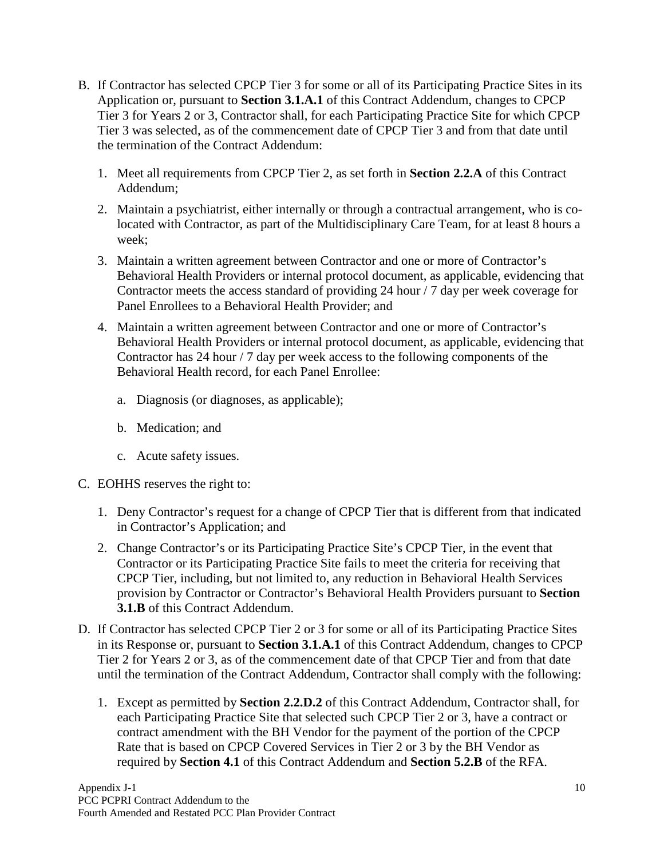- B. If Contractor has selected CPCP Tier 3 for some or all of its Participating Practice Sites in its Application or, pursuant to **Section 3.1.A.1** of this Contract Addendum, changes to CPCP Tier 3 for Years 2 or 3, Contractor shall, for each Participating Practice Site for which CPCP Tier 3 was selected, as of the commencement date of CPCP Tier 3 and from that date until the termination of the Contract Addendum:
	- 1. Meet all requirements from CPCP Tier 2, as set forth in **Section 2.2.A** of this Contract Addendum;
	- 2. Maintain a psychiatrist, either internally or through a contractual arrangement, who is colocated with Contractor, as part of the Multidisciplinary Care Team, for at least 8 hours a week;
	- 3. Maintain a written agreement between Contractor and one or more of Contractor's Behavioral Health Providers or internal protocol document, as applicable, evidencing that Contractor meets the access standard of providing 24 hour / 7 day per week coverage for Panel Enrollees to a Behavioral Health Provider; and
	- 4. Maintain a written agreement between Contractor and one or more of Contractor's Behavioral Health Providers or internal protocol document, as applicable, evidencing that Contractor has 24 hour / 7 day per week access to the following components of the Behavioral Health record, for each Panel Enrollee:
		- a. Diagnosis (or diagnoses, as applicable);
		- b. Medication; and
		- c. Acute safety issues.
- C. EOHHS reserves the right to:
	- 1. Deny Contractor's request for a change of CPCP Tier that is different from that indicated in Contractor's Application; and
	- 2. Change Contractor's or its Participating Practice Site's CPCP Tier, in the event that Contractor or its Participating Practice Site fails to meet the criteria for receiving that CPCP Tier, including, but not limited to, any reduction in Behavioral Health Services provision by Contractor or Contractor's Behavioral Health Providers pursuant to **Section 3.1.B** of this Contract Addendum.
- D. If Contractor has selected CPCP Tier 2 or 3 for some or all of its Participating Practice Sites in its Response or, pursuant to **Section 3.1.A.1** of this Contract Addendum, changes to CPCP Tier 2 for Years 2 or 3, as of the commencement date of that CPCP Tier and from that date until the termination of the Contract Addendum, Contractor shall comply with the following:
	- 1. Except as permitted by **Section 2.2.D.2** of this Contract Addendum, Contractor shall, for each Participating Practice Site that selected such CPCP Tier 2 or 3, have a contract or contract amendment with the BH Vendor for the payment of the portion of the CPCP Rate that is based on CPCP Covered Services in Tier 2 or 3 by the BH Vendor as required by **Section 4.1** of this Contract Addendum and **Section 5.2.B** of the RFA.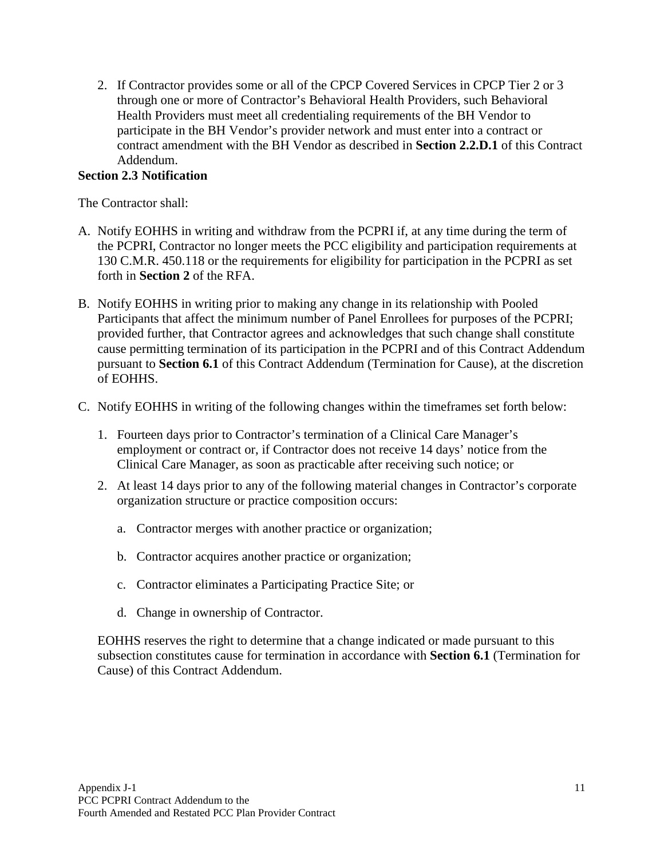2. If Contractor provides some or all of the CPCP Covered Services in CPCP Tier 2 or 3 through one or more of Contractor's Behavioral Health Providers, such Behavioral Health Providers must meet all credentialing requirements of the BH Vendor to participate in the BH Vendor's provider network and must enter into a contract or contract amendment with the BH Vendor as described in **Section 2.2.D.1** of this Contract Addendum.

### <span id="page-13-0"></span>**Section 2.3 Notification**

The Contractor shall:

- A. Notify EOHHS in writing and withdraw from the PCPRI if, at any time during the term of the PCPRI, Contractor no longer meets the PCC eligibility and participation requirements at 130 C.M.R. 450.118 or the requirements for eligibility for participation in the PCPRI as set forth in **Section 2** of the RFA.
- B. Notify EOHHS in writing prior to making any change in its relationship with Pooled Participants that affect the minimum number of Panel Enrollees for purposes of the PCPRI; provided further, that Contractor agrees and acknowledges that such change shall constitute cause permitting termination of its participation in the PCPRI and of this Contract Addendum pursuant to **Section 6.1** of this Contract Addendum (Termination for Cause), at the discretion of EOHHS.
- C. Notify EOHHS in writing of the following changes within the timeframes set forth below:
	- 1. Fourteen days prior to Contractor's termination of a Clinical Care Manager's employment or contract or, if Contractor does not receive 14 days' notice from the Clinical Care Manager, as soon as practicable after receiving such notice; or
	- 2. At least 14 days prior to any of the following material changes in Contractor's corporate organization structure or practice composition occurs:
		- a. Contractor merges with another practice or organization;
		- b. Contractor acquires another practice or organization;
		- c. Contractor eliminates a Participating Practice Site; or
		- d. Change in ownership of Contractor.

EOHHS reserves the right to determine that a change indicated or made pursuant to this subsection constitutes cause for termination in accordance with **Section 6.1** (Termination for Cause) of this Contract Addendum.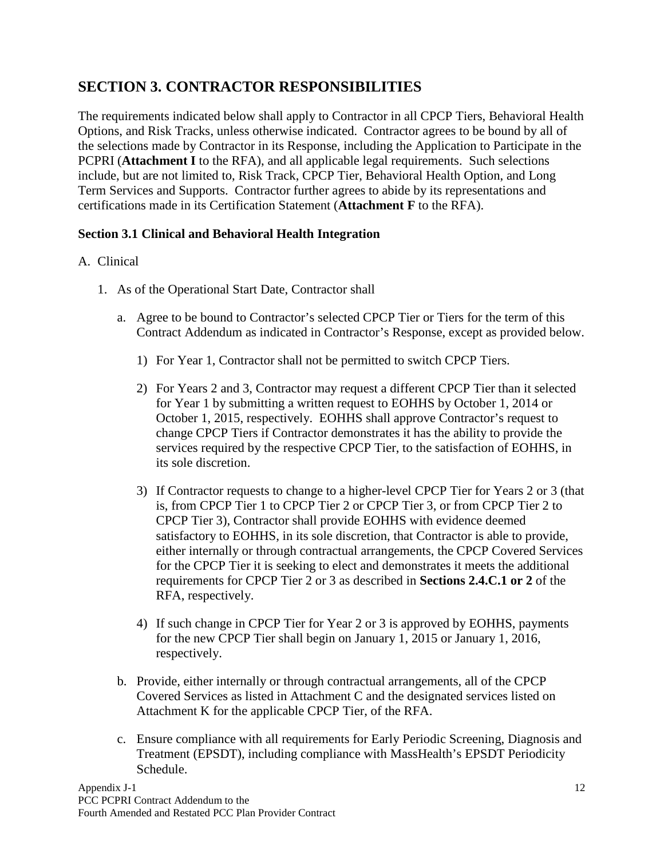# <span id="page-14-0"></span>**SECTION 3. CONTRACTOR RESPONSIBILITIES**

The requirements indicated below shall apply to Contractor in all CPCP Tiers, Behavioral Health Options, and Risk Tracks, unless otherwise indicated. Contractor agrees to be bound by all of the selections made by Contractor in its Response, including the Application to Participate in the PCPRI (**Attachment I** to the RFA), and all applicable legal requirements. Such selections include, but are not limited to, Risk Track, CPCP Tier, Behavioral Health Option, and Long Term Services and Supports. Contractor further agrees to abide by its representations and certifications made in its Certification Statement (**Attachment F** to the RFA).

### <span id="page-14-1"></span>**Section 3.1 Clinical and Behavioral Health Integration**

### A. Clinical

- 1. As of the Operational Start Date, Contractor shall
	- a. Agree to be bound to Contractor's selected CPCP Tier or Tiers for the term of this Contract Addendum as indicated in Contractor's Response, except as provided below.
		- 1) For Year 1, Contractor shall not be permitted to switch CPCP Tiers.
		- 2) For Years 2 and 3, Contractor may request a different CPCP Tier than it selected for Year 1 by submitting a written request to EOHHS by October 1, 2014 or October 1, 2015, respectively. EOHHS shall approve Contractor's request to change CPCP Tiers if Contractor demonstrates it has the ability to provide the services required by the respective CPCP Tier, to the satisfaction of EOHHS, in its sole discretion.
		- 3) If Contractor requests to change to a higher-level CPCP Tier for Years 2 or 3 (that is, from CPCP Tier 1 to CPCP Tier 2 or CPCP Tier 3, or from CPCP Tier 2 to CPCP Tier 3), Contractor shall provide EOHHS with evidence deemed satisfactory to EOHHS, in its sole discretion, that Contractor is able to provide, either internally or through contractual arrangements, the CPCP Covered Services for the CPCP Tier it is seeking to elect and demonstrates it meets the additional requirements for CPCP Tier 2 or 3 as described in **Sections 2.4.C.1 or 2** of the RFA, respectively.
		- 4) If such change in CPCP Tier for Year 2 or 3 is approved by EOHHS, payments for the new CPCP Tier shall begin on January 1, 2015 or January 1, 2016, respectively.
	- b. Provide, either internally or through contractual arrangements, all of the CPCP Covered Services as listed in Attachment C and the designated services listed on Attachment K for the applicable CPCP Tier, of the RFA.
	- c. Ensure compliance with all requirements for Early Periodic Screening, Diagnosis and Treatment (EPSDT), including compliance with MassHealth's EPSDT Periodicity Schedule.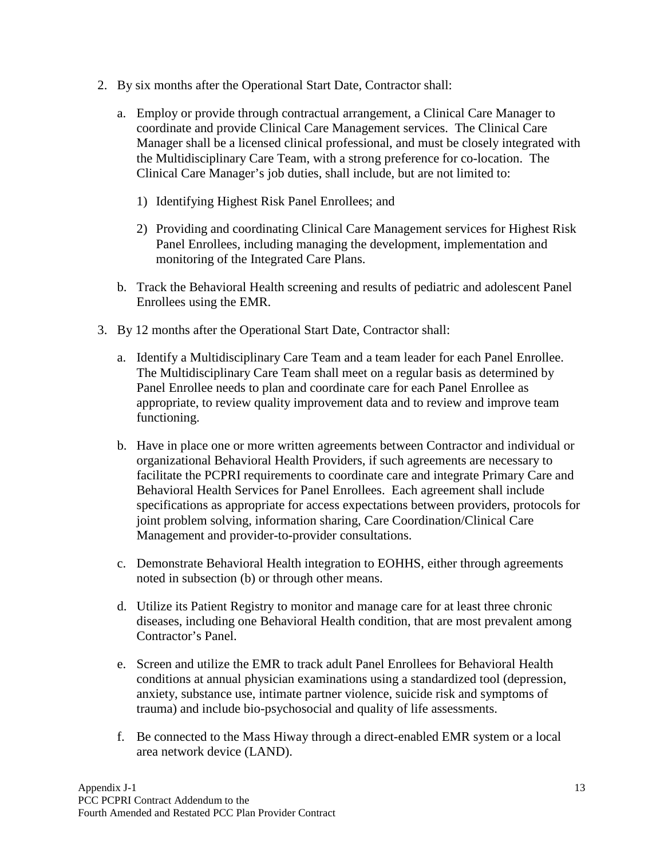- 2. By six months after the Operational Start Date, Contractor shall:
	- a. Employ or provide through contractual arrangement, a Clinical Care Manager to coordinate and provide Clinical Care Management services. The Clinical Care Manager shall be a licensed clinical professional, and must be closely integrated with the Multidisciplinary Care Team, with a strong preference for co-location. The Clinical Care Manager's job duties, shall include, but are not limited to:
		- 1) Identifying Highest Risk Panel Enrollees; and
		- 2) Providing and coordinating Clinical Care Management services for Highest Risk Panel Enrollees, including managing the development, implementation and monitoring of the Integrated Care Plans.
	- b. Track the Behavioral Health screening and results of pediatric and adolescent Panel Enrollees using the EMR.
- 3. By 12 months after the Operational Start Date, Contractor shall:
	- a. Identify a Multidisciplinary Care Team and a team leader for each Panel Enrollee. The Multidisciplinary Care Team shall meet on a regular basis as determined by Panel Enrollee needs to plan and coordinate care for each Panel Enrollee as appropriate, to review quality improvement data and to review and improve team functioning.
	- b. Have in place one or more written agreements between Contractor and individual or organizational Behavioral Health Providers, if such agreements are necessary to facilitate the PCPRI requirements to coordinate care and integrate Primary Care and Behavioral Health Services for Panel Enrollees. Each agreement shall include specifications as appropriate for access expectations between providers, protocols for joint problem solving, information sharing, Care Coordination/Clinical Care Management and provider-to-provider consultations.
	- c. Demonstrate Behavioral Health integration to EOHHS, either through agreements noted in subsection (b) or through other means.
	- d. Utilize its Patient Registry to monitor and manage care for at least three chronic diseases, including one Behavioral Health condition, that are most prevalent among Contractor's Panel.
	- e. Screen and utilize the EMR to track adult Panel Enrollees for Behavioral Health conditions at annual physician examinations using a standardized tool (depression, anxiety, substance use, intimate partner violence, suicide risk and symptoms of trauma) and include bio-psychosocial and quality of life assessments.
	- f. Be connected to the Mass Hiway through a direct-enabled EMR system or a local area network device (LAND).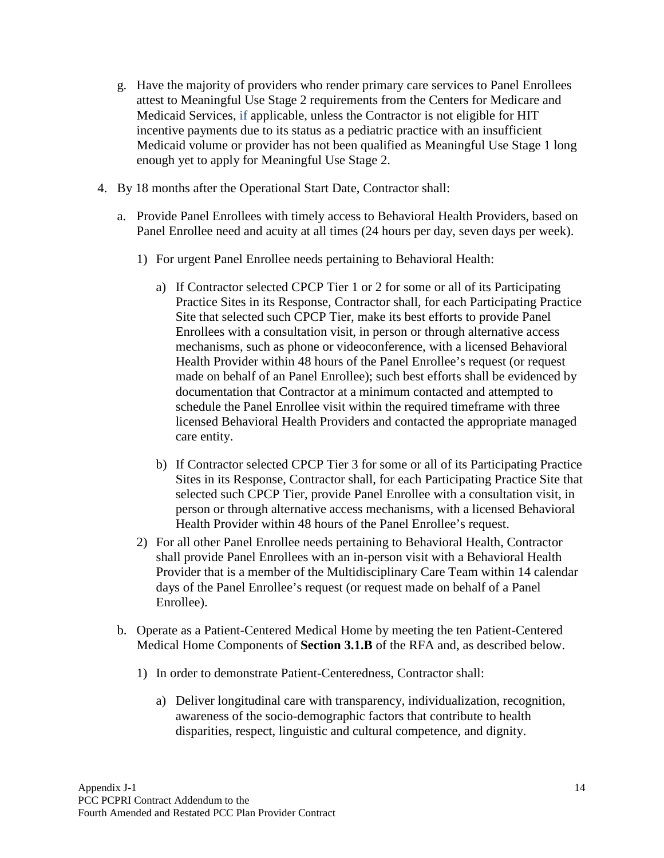- g. Have the majority of providers who render primary care services to Panel Enrollees attest to Meaningful Use Stage 2 requirements from the Centers for Medicare and Medicaid Services, if applicable, unless the Contractor is not eligible for HIT incentive payments due to its status as a pediatric practice with an insufficient Medicaid volume or provider has not been qualified as Meaningful Use Stage 1 long enough yet to apply for Meaningful Use Stage 2.
- 4. By 18 months after the Operational Start Date, Contractor shall:
	- a. Provide Panel Enrollees with timely access to Behavioral Health Providers, based on Panel Enrollee need and acuity at all times (24 hours per day, seven days per week).
		- 1) For urgent Panel Enrollee needs pertaining to Behavioral Health:
			- a) If Contractor selected CPCP Tier 1 or 2 for some or all of its Participating Practice Sites in its Response, Contractor shall, for each Participating Practice Site that selected such CPCP Tier, make its best efforts to provide Panel Enrollees with a consultation visit, in person or through alternative access mechanisms, such as phone or videoconference, with a licensed Behavioral Health Provider within 48 hours of the Panel Enrollee's request (or request made on behalf of an Panel Enrollee); such best efforts shall be evidenced by documentation that Contractor at a minimum contacted and attempted to schedule the Panel Enrollee visit within the required timeframe with three licensed Behavioral Health Providers and contacted the appropriate managed care entity.
			- b) If Contractor selected CPCP Tier 3 for some or all of its Participating Practice Sites in its Response, Contractor shall, for each Participating Practice Site that selected such CPCP Tier, provide Panel Enrollee with a consultation visit, in person or through alternative access mechanisms, with a licensed Behavioral Health Provider within 48 hours of the Panel Enrollee's request.
		- 2) For all other Panel Enrollee needs pertaining to Behavioral Health, Contractor shall provide Panel Enrollees with an in-person visit with a Behavioral Health Provider that is a member of the Multidisciplinary Care Team within 14 calendar days of the Panel Enrollee's request (or request made on behalf of a Panel Enrollee).
	- b. Operate as a Patient-Centered Medical Home by meeting the ten Patient-Centered Medical Home Components of **Section 3.1.B** of the RFA and, as described below.
		- 1) In order to demonstrate Patient-Centeredness, Contractor shall:
			- a) Deliver longitudinal care with transparency, individualization, recognition, awareness of the socio-demographic factors that contribute to health disparities, respect, linguistic and cultural competence, and dignity.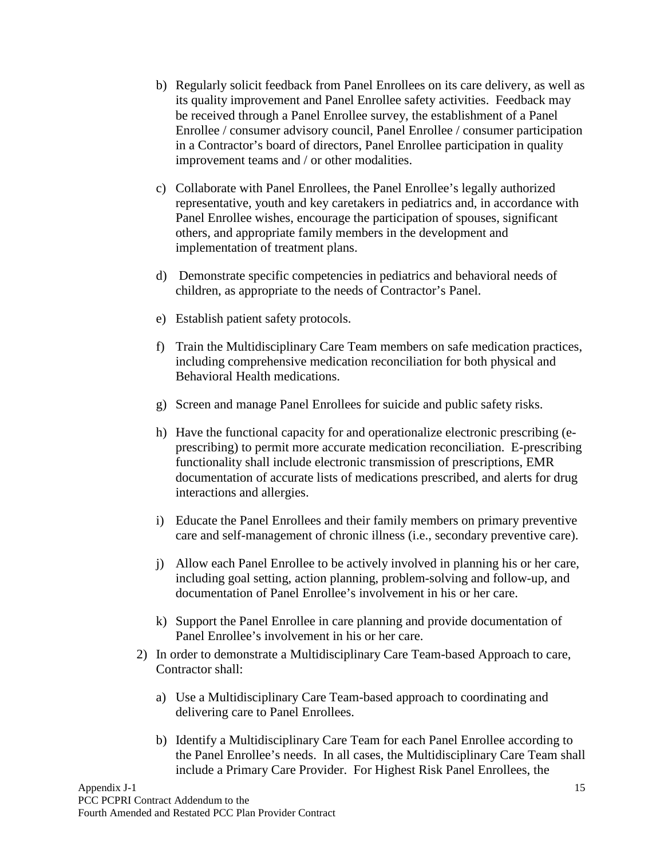- b) Regularly solicit feedback from Panel Enrollees on its care delivery, as well as its quality improvement and Panel Enrollee safety activities. Feedback may be received through a Panel Enrollee survey, the establishment of a Panel Enrollee / consumer advisory council, Panel Enrollee / consumer participation in a Contractor's board of directors, Panel Enrollee participation in quality improvement teams and / or other modalities.
- c) Collaborate with Panel Enrollees, the Panel Enrollee's legally authorized representative, youth and key caretakers in pediatrics and, in accordance with Panel Enrollee wishes, encourage the participation of spouses, significant others, and appropriate family members in the development and implementation of treatment plans.
- d) Demonstrate specific competencies in pediatrics and behavioral needs of children, as appropriate to the needs of Contractor's Panel.
- e) Establish patient safety protocols.
- f) Train the Multidisciplinary Care Team members on safe medication practices, including comprehensive medication reconciliation for both physical and Behavioral Health medications.
- g) Screen and manage Panel Enrollees for suicide and public safety risks.
- h) Have the functional capacity for and operationalize electronic prescribing (eprescribing) to permit more accurate medication reconciliation. E-prescribing functionality shall include electronic transmission of prescriptions, EMR documentation of accurate lists of medications prescribed, and alerts for drug interactions and allergies.
- i) Educate the Panel Enrollees and their family members on primary preventive care and self-management of chronic illness (i.e., secondary preventive care).
- j) Allow each Panel Enrollee to be actively involved in planning his or her care, including goal setting, action planning, problem-solving and follow-up, and documentation of Panel Enrollee's involvement in his or her care.
- k) Support the Panel Enrollee in care planning and provide documentation of Panel Enrollee's involvement in his or her care.
- 2) In order to demonstrate a Multidisciplinary Care Team-based Approach to care, Contractor shall:
	- a) Use a Multidisciplinary Care Team-based approach to coordinating and delivering care to Panel Enrollees.
	- b) Identify a Multidisciplinary Care Team for each Panel Enrollee according to the Panel Enrollee's needs. In all cases, the Multidisciplinary Care Team shall include a Primary Care Provider. For Highest Risk Panel Enrollees, the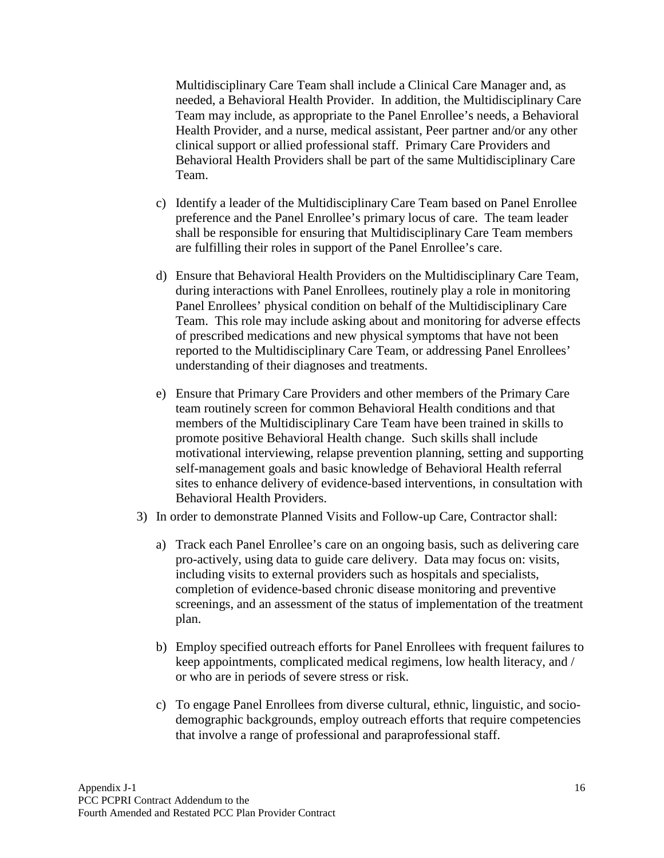Multidisciplinary Care Team shall include a Clinical Care Manager and, as needed, a Behavioral Health Provider. In addition, the Multidisciplinary Care Team may include, as appropriate to the Panel Enrollee's needs, a Behavioral Health Provider, and a nurse, medical assistant, Peer partner and/or any other clinical support or allied professional staff. Primary Care Providers and Behavioral Health Providers shall be part of the same Multidisciplinary Care Team.

- c) Identify a leader of the Multidisciplinary Care Team based on Panel Enrollee preference and the Panel Enrollee's primary locus of care. The team leader shall be responsible for ensuring that Multidisciplinary Care Team members are fulfilling their roles in support of the Panel Enrollee's care.
- d) Ensure that Behavioral Health Providers on the Multidisciplinary Care Team, during interactions with Panel Enrollees, routinely play a role in monitoring Panel Enrollees' physical condition on behalf of the Multidisciplinary Care Team. This role may include asking about and monitoring for adverse effects of prescribed medications and new physical symptoms that have not been reported to the Multidisciplinary Care Team, or addressing Panel Enrollees' understanding of their diagnoses and treatments.
- e) Ensure that Primary Care Providers and other members of the Primary Care team routinely screen for common Behavioral Health conditions and that members of the Multidisciplinary Care Team have been trained in skills to promote positive Behavioral Health change. Such skills shall include motivational interviewing, relapse prevention planning, setting and supporting self-management goals and basic knowledge of Behavioral Health referral sites to enhance delivery of evidence-based interventions, in consultation with Behavioral Health Providers.
- 3) In order to demonstrate Planned Visits and Follow-up Care, Contractor shall:
	- a) Track each Panel Enrollee's care on an ongoing basis, such as delivering care pro-actively, using data to guide care delivery. Data may focus on: visits, including visits to external providers such as hospitals and specialists, completion of evidence-based chronic disease monitoring and preventive screenings, and an assessment of the status of implementation of the treatment plan.
	- b) Employ specified outreach efforts for Panel Enrollees with frequent failures to keep appointments, complicated medical regimens, low health literacy, and / or who are in periods of severe stress or risk.
	- c) To engage Panel Enrollees from diverse cultural, ethnic, linguistic, and sociodemographic backgrounds, employ outreach efforts that require competencies that involve a range of professional and paraprofessional staff.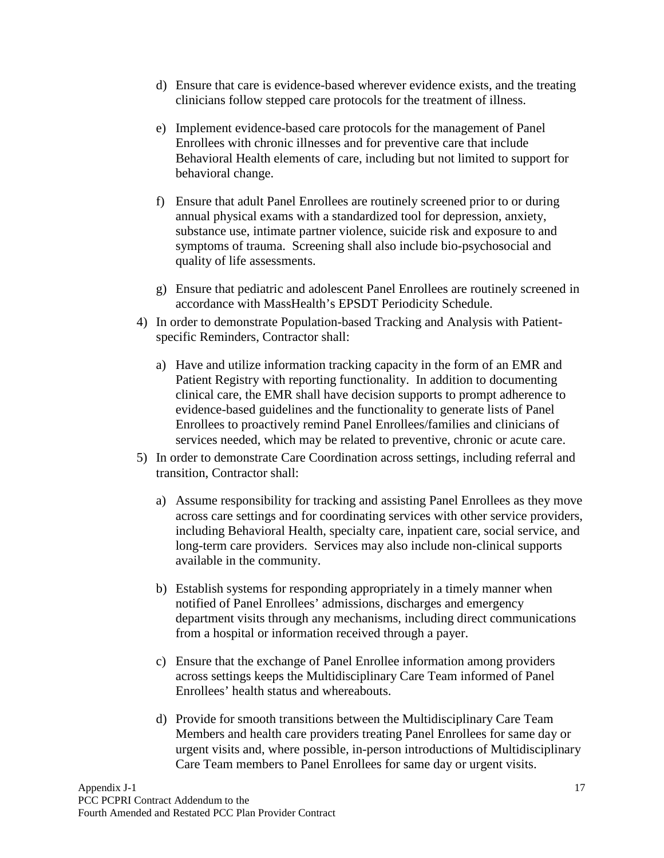- d) Ensure that care is evidence-based wherever evidence exists, and the treating clinicians follow stepped care protocols for the treatment of illness.
- e) Implement evidence-based care protocols for the management of Panel Enrollees with chronic illnesses and for preventive care that include Behavioral Health elements of care, including but not limited to support for behavioral change.
- f) Ensure that adult Panel Enrollees are routinely screened prior to or during annual physical exams with a standardized tool for depression, anxiety, substance use, intimate partner violence, suicide risk and exposure to and symptoms of trauma. Screening shall also include bio-psychosocial and quality of life assessments.
- g) Ensure that pediatric and adolescent Panel Enrollees are routinely screened in accordance with MassHealth's EPSDT Periodicity Schedule.
- 4) In order to demonstrate Population-based Tracking and Analysis with Patientspecific Reminders, Contractor shall:
	- a) Have and utilize information tracking capacity in the form of an EMR and Patient Registry with reporting functionality. In addition to documenting clinical care, the EMR shall have decision supports to prompt adherence to evidence-based guidelines and the functionality to generate lists of Panel Enrollees to proactively remind Panel Enrollees/families and clinicians of services needed, which may be related to preventive, chronic or acute care.
- 5) In order to demonstrate Care Coordination across settings, including referral and transition, Contractor shall:
	- a) Assume responsibility for tracking and assisting Panel Enrollees as they move across care settings and for coordinating services with other service providers, including Behavioral Health, specialty care, inpatient care, social service, and long-term care providers. Services may also include non-clinical supports available in the community.
	- b) Establish systems for responding appropriately in a timely manner when notified of Panel Enrollees' admissions, discharges and emergency department visits through any mechanisms, including direct communications from a hospital or information received through a payer.
	- c) Ensure that the exchange of Panel Enrollee information among providers across settings keeps the Multidisciplinary Care Team informed of Panel Enrollees' health status and whereabouts.
	- d) Provide for smooth transitions between the Multidisciplinary Care Team Members and health care providers treating Panel Enrollees for same day or urgent visits and, where possible, in-person introductions of Multidisciplinary Care Team members to Panel Enrollees for same day or urgent visits.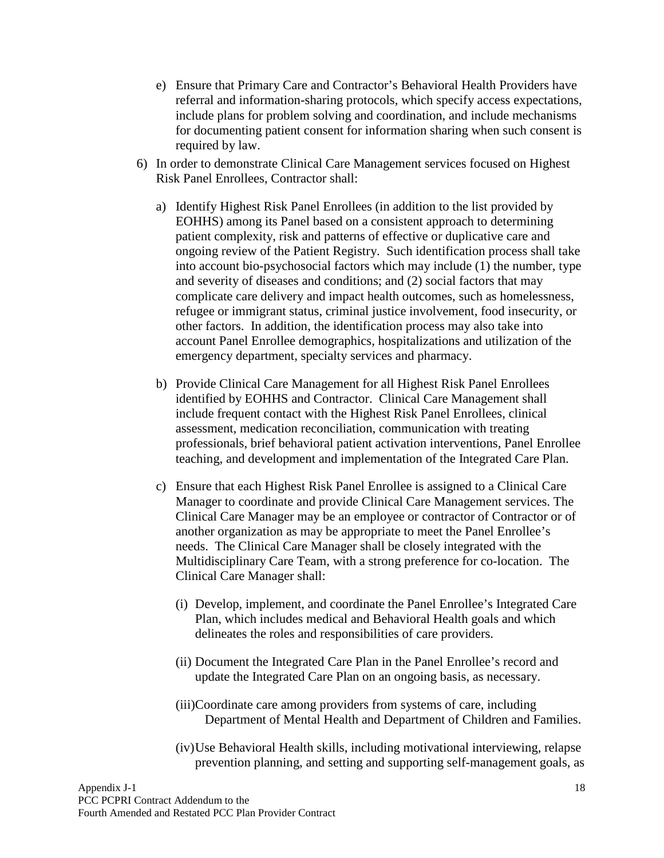- e) Ensure that Primary Care and Contractor's Behavioral Health Providers have referral and information-sharing protocols, which specify access expectations, include plans for problem solving and coordination, and include mechanisms for documenting patient consent for information sharing when such consent is required by law.
- 6) In order to demonstrate Clinical Care Management services focused on Highest Risk Panel Enrollees, Contractor shall:
	- a) Identify Highest Risk Panel Enrollees (in addition to the list provided by EOHHS) among its Panel based on a consistent approach to determining patient complexity, risk and patterns of effective or duplicative care and ongoing review of the Patient Registry. Such identification process shall take into account bio-psychosocial factors which may include (1) the number, type and severity of diseases and conditions; and (2) social factors that may complicate care delivery and impact health outcomes, such as homelessness, refugee or immigrant status, criminal justice involvement, food insecurity, or other factors. In addition, the identification process may also take into account Panel Enrollee demographics, hospitalizations and utilization of the emergency department, specialty services and pharmacy.
	- b) Provide Clinical Care Management for all Highest Risk Panel Enrollees identified by EOHHS and Contractor. Clinical Care Management shall include frequent contact with the Highest Risk Panel Enrollees, clinical assessment, medication reconciliation, communication with treating professionals, brief behavioral patient activation interventions, Panel Enrollee teaching, and development and implementation of the Integrated Care Plan.
	- c) Ensure that each Highest Risk Panel Enrollee is assigned to a Clinical Care Manager to coordinate and provide Clinical Care Management services. The Clinical Care Manager may be an employee or contractor of Contractor or of another organization as may be appropriate to meet the Panel Enrollee's needs. The Clinical Care Manager shall be closely integrated with the Multidisciplinary Care Team, with a strong preference for co-location. The Clinical Care Manager shall:
		- (i) Develop, implement, and coordinate the Panel Enrollee's Integrated Care Plan, which includes medical and Behavioral Health goals and which delineates the roles and responsibilities of care providers.
		- (ii) Document the Integrated Care Plan in the Panel Enrollee's record and update the Integrated Care Plan on an ongoing basis, as necessary.
		- (iii)Coordinate care among providers from systems of care, including Department of Mental Health and Department of Children and Families.
		- (iv)Use Behavioral Health skills, including motivational interviewing, relapse prevention planning, and setting and supporting self-management goals, as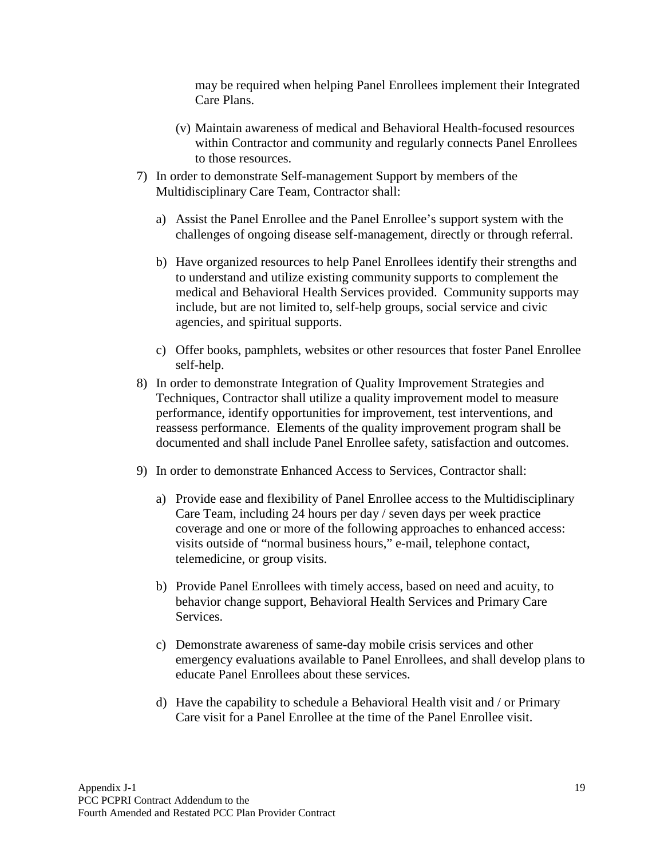may be required when helping Panel Enrollees implement their Integrated Care Plans.

- (v) Maintain awareness of medical and Behavioral Health-focused resources within Contractor and community and regularly connects Panel Enrollees to those resources.
- 7) In order to demonstrate Self-management Support by members of the Multidisciplinary Care Team, Contractor shall:
	- a) Assist the Panel Enrollee and the Panel Enrollee's support system with the challenges of ongoing disease self-management, directly or through referral.
	- b) Have organized resources to help Panel Enrollees identify their strengths and to understand and utilize existing community supports to complement the medical and Behavioral Health Services provided. Community supports may include, but are not limited to, self-help groups, social service and civic agencies, and spiritual supports.
	- c) Offer books, pamphlets, websites or other resources that foster Panel Enrollee self-help.
- 8) In order to demonstrate Integration of Quality Improvement Strategies and Techniques, Contractor shall utilize a quality improvement model to measure performance, identify opportunities for improvement, test interventions, and reassess performance. Elements of the quality improvement program shall be documented and shall include Panel Enrollee safety, satisfaction and outcomes.
- 9) In order to demonstrate Enhanced Access to Services, Contractor shall:
	- a) Provide ease and flexibility of Panel Enrollee access to the Multidisciplinary Care Team, including 24 hours per day / seven days per week practice coverage and one or more of the following approaches to enhanced access: visits outside of "normal business hours," e-mail, telephone contact, telemedicine, or group visits.
	- b) Provide Panel Enrollees with timely access, based on need and acuity, to behavior change support, Behavioral Health Services and Primary Care Services.
	- c) Demonstrate awareness of same-day mobile crisis services and other emergency evaluations available to Panel Enrollees, and shall develop plans to educate Panel Enrollees about these services.
	- d) Have the capability to schedule a Behavioral Health visit and / or Primary Care visit for a Panel Enrollee at the time of the Panel Enrollee visit.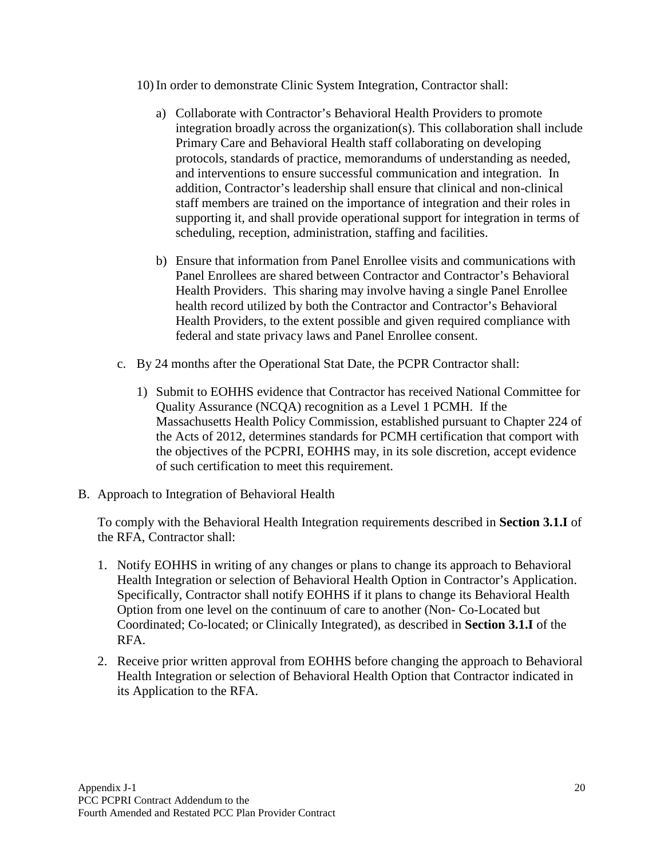10) In order to demonstrate Clinic System Integration, Contractor shall:

- a) Collaborate with Contractor's Behavioral Health Providers to promote integration broadly across the organization(s). This collaboration shall include Primary Care and Behavioral Health staff collaborating on developing protocols, standards of practice, memorandums of understanding as needed, and interventions to ensure successful communication and integration. In addition, Contractor's leadership shall ensure that clinical and non-clinical staff members are trained on the importance of integration and their roles in supporting it, and shall provide operational support for integration in terms of scheduling, reception, administration, staffing and facilities.
- b) Ensure that information from Panel Enrollee visits and communications with Panel Enrollees are shared between Contractor and Contractor's Behavioral Health Providers. This sharing may involve having a single Panel Enrollee health record utilized by both the Contractor and Contractor's Behavioral Health Providers, to the extent possible and given required compliance with federal and state privacy laws and Panel Enrollee consent.
- c. By 24 months after the Operational Stat Date, the PCPR Contractor shall:
	- 1) Submit to EOHHS evidence that Contractor has received National Committee for Quality Assurance (NCQA) recognition as a Level 1 PCMH. If the Massachusetts Health Policy Commission, established pursuant to Chapter 224 of the Acts of 2012, determines standards for PCMH certification that comport with the objectives of the PCPRI, EOHHS may, in its sole discretion, accept evidence of such certification to meet this requirement.
- B. Approach to Integration of Behavioral Health

To comply with the Behavioral Health Integration requirements described in **Section 3.1.I** of the RFA, Contractor shall:

- 1. Notify EOHHS in writing of any changes or plans to change its approach to Behavioral Health Integration or selection of Behavioral Health Option in Contractor's Application. Specifically, Contractor shall notify EOHHS if it plans to change its Behavioral Health Option from one level on the continuum of care to another (Non- Co-Located but Coordinated; Co-located; or Clinically Integrated), as described in **Section 3.1.I** of the RFA.
- 2. Receive prior written approval from EOHHS before changing the approach to Behavioral Health Integration or selection of Behavioral Health Option that Contractor indicated in its Application to the RFA.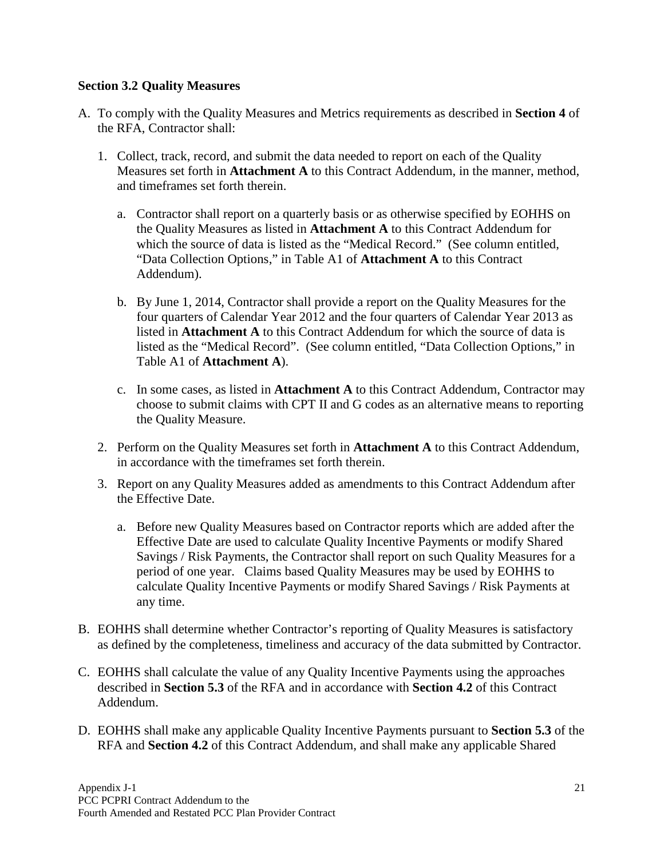### <span id="page-23-0"></span>**Section 3.2 Quality Measures**

- A. To comply with the Quality Measures and Metrics requirements as described in **Section 4** of the RFA, Contractor shall:
	- 1. Collect, track, record, and submit the data needed to report on each of the Quality Measures set forth in **Attachment A** to this Contract Addendum, in the manner, method, and timeframes set forth therein.
		- a. Contractor shall report on a quarterly basis or as otherwise specified by EOHHS on the Quality Measures as listed in **Attachment A** to this Contract Addendum for which the source of data is listed as the "Medical Record." (See column entitled, "Data Collection Options," in Table A1 of **Attachment A** to this Contract Addendum).
		- b. By June 1, 2014, Contractor shall provide a report on the Quality Measures for the four quarters of Calendar Year 2012 and the four quarters of Calendar Year 2013 as listed in **Attachment A** to this Contract Addendum for which the source of data is listed as the "Medical Record". (See column entitled, "Data Collection Options," in Table A1 of **Attachment A**).
		- c. In some cases, as listed in **Attachment A** to this Contract Addendum, Contractor may choose to submit claims with CPT II and G codes as an alternative means to reporting the Quality Measure.
	- 2. Perform on the Quality Measures set forth in **Attachment A** to this Contract Addendum, in accordance with the timeframes set forth therein.
	- 3. Report on any Quality Measures added as amendments to this Contract Addendum after the Effective Date.
		- a. Before new Quality Measures based on Contractor reports which are added after the Effective Date are used to calculate Quality Incentive Payments or modify Shared Savings / Risk Payments, the Contractor shall report on such Quality Measures for a period of one year. Claims based Quality Measures may be used by EOHHS to calculate Quality Incentive Payments or modify Shared Savings / Risk Payments at any time.
- B. EOHHS shall determine whether Contractor's reporting of Quality Measures is satisfactory as defined by the completeness, timeliness and accuracy of the data submitted by Contractor.
- C. EOHHS shall calculate the value of any Quality Incentive Payments using the approaches described in **Section 5.3** of the RFA and in accordance with **Section 4.2** of this Contract Addendum.
- D. EOHHS shall make any applicable Quality Incentive Payments pursuant to **Section 5.3** of the RFA and **Section 4.2** of this Contract Addendum, and shall make any applicable Shared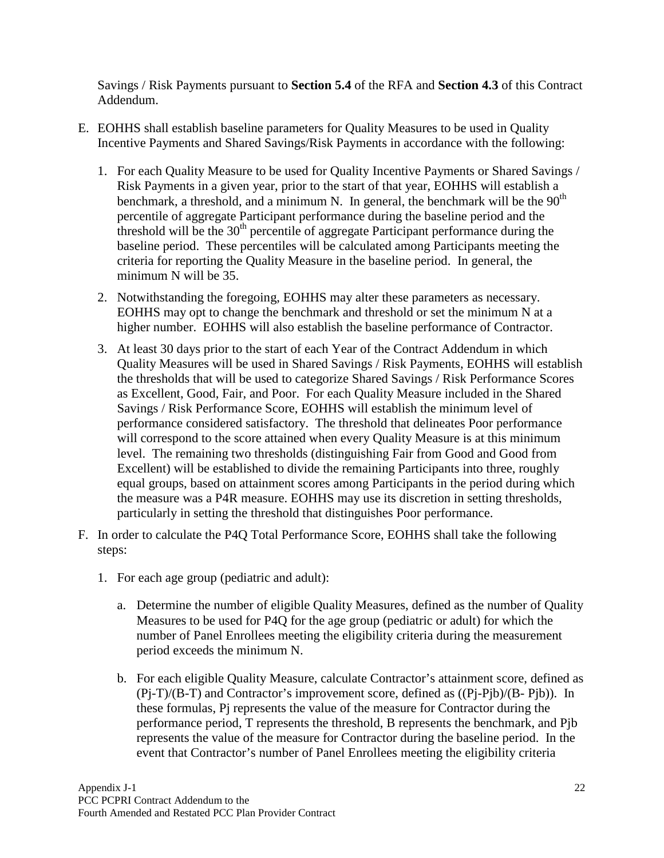Savings / Risk Payments pursuant to **Section 5.4** of the RFA and **Section 4.3** of this Contract Addendum.

- E. EOHHS shall establish baseline parameters for Quality Measures to be used in Quality Incentive Payments and Shared Savings/Risk Payments in accordance with the following:
	- 1. For each Quality Measure to be used for Quality Incentive Payments or Shared Savings / Risk Payments in a given year, prior to the start of that year, EOHHS will establish a benchmark, a threshold, and a minimum N. In general, the benchmark will be the  $90<sup>th</sup>$ percentile of aggregate Participant performance during the baseline period and the threshold will be the  $30<sup>th</sup>$  percentile of aggregate Participant performance during the baseline period. These percentiles will be calculated among Participants meeting the criteria for reporting the Quality Measure in the baseline period. In general, the minimum N will be 35.
	- 2. Notwithstanding the foregoing, EOHHS may alter these parameters as necessary. EOHHS may opt to change the benchmark and threshold or set the minimum N at a higher number. EOHHS will also establish the baseline performance of Contractor.
	- 3. At least 30 days prior to the start of each Year of the Contract Addendum in which Quality Measures will be used in Shared Savings / Risk Payments, EOHHS will establish the thresholds that will be used to categorize Shared Savings / Risk Performance Scores as Excellent, Good, Fair, and Poor. For each Quality Measure included in the Shared Savings / Risk Performance Score, EOHHS will establish the minimum level of performance considered satisfactory. The threshold that delineates Poor performance will correspond to the score attained when every Quality Measure is at this minimum level. The remaining two thresholds (distinguishing Fair from Good and Good from Excellent) will be established to divide the remaining Participants into three, roughly equal groups, based on attainment scores among Participants in the period during which the measure was a P4R measure. EOHHS may use its discretion in setting thresholds, particularly in setting the threshold that distinguishes Poor performance.
- F. In order to calculate the P4Q Total Performance Score, EOHHS shall take the following steps:
	- 1. For each age group (pediatric and adult):
		- a. Determine the number of eligible Quality Measures, defined as the number of Quality Measures to be used for P4Q for the age group (pediatric or adult) for which the number of Panel Enrollees meeting the eligibility criteria during the measurement period exceeds the minimum N.
		- b. For each eligible Quality Measure, calculate Contractor's attainment score, defined as (Pj-T)/(B-T) and Contractor's improvement score, defined as ((Pj-Pjb)/(B- Pjb)). In these formulas, Pj represents the value of the measure for Contractor during the performance period, T represents the threshold, B represents the benchmark, and Pjb represents the value of the measure for Contractor during the baseline period. In the event that Contractor's number of Panel Enrollees meeting the eligibility criteria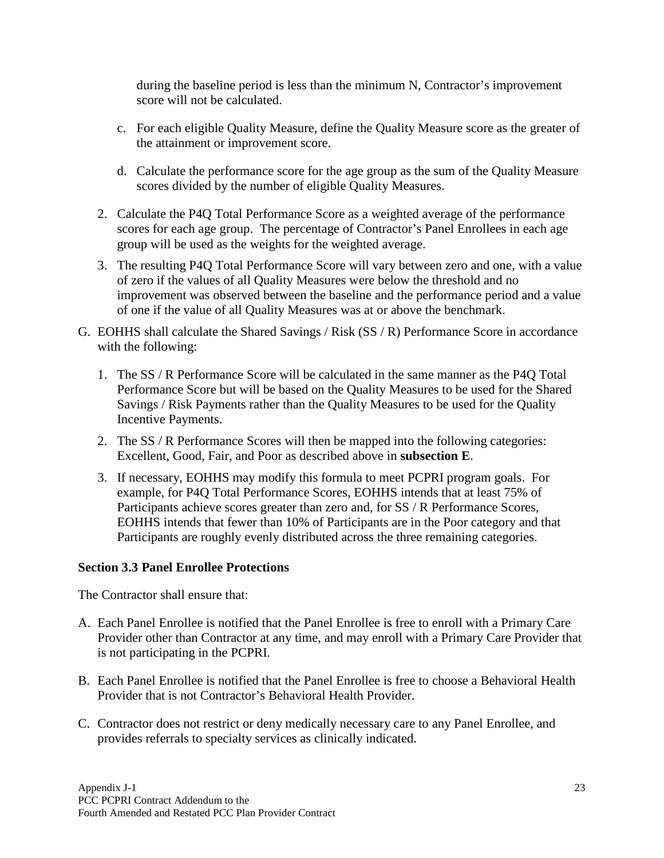during the baseline period is less than the minimum N, Contractor's improvement score will not be calculated.

- c. For each eligible Quality Measure, define the Quality Measure score as the greater of the attainment or improvement score.
- d. Calculate the performance score for the age group as the sum of the Quality Measure scores divided by the number of eligible Quality Measures.
- 2. Calculate the P4Q Total Performance Score as a weighted average of the performance scores for each age group. The percentage of Contractor's Panel Enrollees in each age group will be used as the weights for the weighted average.
- 3. The resulting P4Q Total Performance Score will vary between zero and one, with a value of zero if the values of all Quality Measures were below the threshold and no improvement was observed between the baseline and the performance period and a value of one if the value of all Quality Measures was at or above the benchmark.
- G. EOHHS shall calculate the Shared Savings / Risk (SS / R) Performance Score in accordance with the following:
	- 1. The SS / R Performance Score will be calculated in the same manner as the P4Q Total Performance Score but will be based on the Quality Measures to be used for the Shared Savings / Risk Payments rather than the Quality Measures to be used for the Quality Incentive Payments.
	- 2. The SS / R Performance Scores will then be mapped into the following categories: Excellent, Good, Fair, and Poor as described above in **subsection E**.
	- 3. If necessary, EOHHS may modify this formula to meet PCPRI program goals. For example, for P4Q Total Performance Scores, EOHHS intends that at least 75% of Participants achieve scores greater than zero and, for SS / R Performance Scores, EOHHS intends that fewer than 10% of Participants are in the Poor category and that Participants are roughly evenly distributed across the three remaining categories.

### <span id="page-25-0"></span>**Section 3.3 Panel Enrollee Protections**

The Contractor shall ensure that:

- A. Each Panel Enrollee is notified that the Panel Enrollee is free to enroll with a Primary Care Provider other than Contractor at any time, and may enroll with a Primary Care Provider that is not participating in the PCPRI.
- B. Each Panel Enrollee is notified that the Panel Enrollee is free to choose a Behavioral Health Provider that is not Contractor's Behavioral Health Provider.
- C. Contractor does not restrict or deny medically necessary care to any Panel Enrollee, and provides referrals to specialty services as clinically indicated.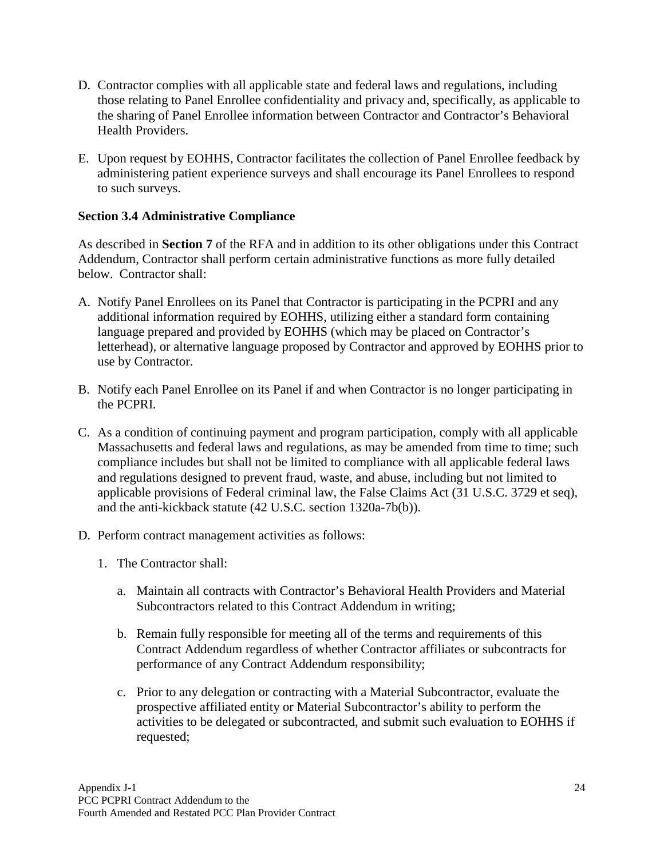- D. Contractor complies with all applicable state and federal laws and regulations, including those relating to Panel Enrollee confidentiality and privacy and, specifically, as applicable to the sharing of Panel Enrollee information between Contractor and Contractor's Behavioral Health Providers.
- E. Upon request by EOHHS, Contractor facilitates the collection of Panel Enrollee feedback by administering patient experience surveys and shall encourage its Panel Enrollees to respond to such surveys.

### <span id="page-26-0"></span>**Section 3.4 Administrative Compliance**

As described in **Section 7** of the RFA and in addition to its other obligations under this Contract Addendum, Contractor shall perform certain administrative functions as more fully detailed below. Contractor shall:

- A. Notify Panel Enrollees on its Panel that Contractor is participating in the PCPRI and any additional information required by EOHHS, utilizing either a standard form containing language prepared and provided by EOHHS (which may be placed on Contractor's letterhead), or alternative language proposed by Contractor and approved by EOHHS prior to use by Contractor.
- B. Notify each Panel Enrollee on its Panel if and when Contractor is no longer participating in the PCPRI.
- C. As a condition of continuing payment and program participation, comply with all applicable Massachusetts and federal laws and regulations, as may be amended from time to time; such compliance includes but shall not be limited to compliance with all applicable federal laws and regulations designed to prevent fraud, waste, and abuse, including but not limited to applicable provisions of Federal criminal law, the False Claims Act (31 U.S.C. 3729 et seq), and the anti-kickback statute (42 U.S.C. section 1320a-7b(b)).
- D. Perform contract management activities as follows:
	- 1. The Contractor shall:
		- a. Maintain all contracts with Contractor's Behavioral Health Providers and Material Subcontractors related to this Contract Addendum in writing;
		- b. Remain fully responsible for meeting all of the terms and requirements of this Contract Addendum regardless of whether Contractor affiliates or subcontracts for performance of any Contract Addendum responsibility;
		- c. Prior to any delegation or contracting with a Material Subcontractor, evaluate the prospective affiliated entity or Material Subcontractor's ability to perform the activities to be delegated or subcontracted, and submit such evaluation to EOHHS if requested;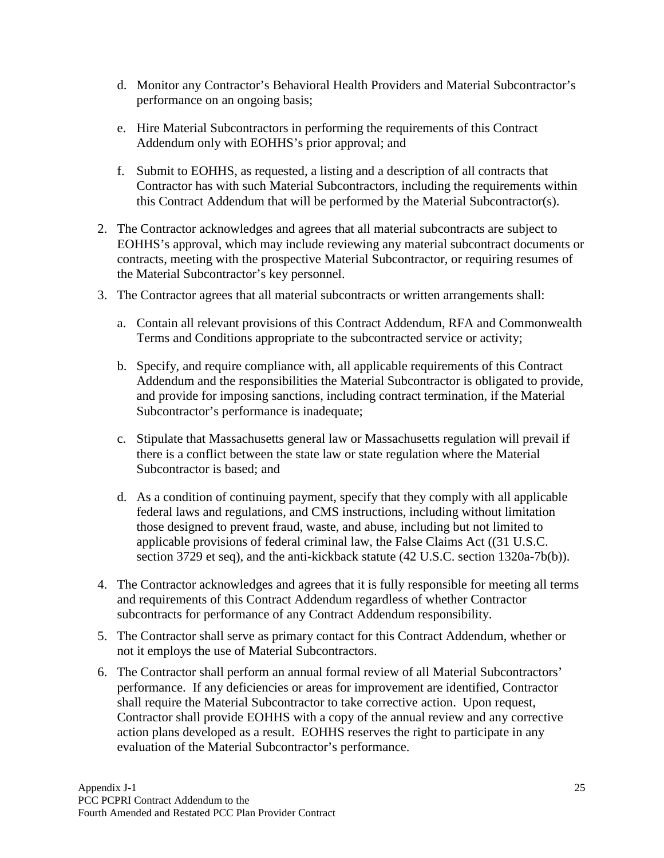- d. Monitor any Contractor's Behavioral Health Providers and Material Subcontractor's performance on an ongoing basis;
- e. Hire Material Subcontractors in performing the requirements of this Contract Addendum only with EOHHS's prior approval; and
- f. Submit to EOHHS, as requested, a listing and a description of all contracts that Contractor has with such Material Subcontractors, including the requirements within this Contract Addendum that will be performed by the Material Subcontractor(s).
- 2. The Contractor acknowledges and agrees that all material subcontracts are subject to EOHHS's approval, which may include reviewing any material subcontract documents or contracts, meeting with the prospective Material Subcontractor, or requiring resumes of the Material Subcontractor's key personnel.
- 3. The Contractor agrees that all material subcontracts or written arrangements shall:
	- a. Contain all relevant provisions of this Contract Addendum, RFA and Commonwealth Terms and Conditions appropriate to the subcontracted service or activity;
	- b. Specify, and require compliance with, all applicable requirements of this Contract Addendum and the responsibilities the Material Subcontractor is obligated to provide, and provide for imposing sanctions, including contract termination, if the Material Subcontractor's performance is inadequate;
	- c. Stipulate that Massachusetts general law or Massachusetts regulation will prevail if there is a conflict between the state law or state regulation where the Material Subcontractor is based; and
	- d. As a condition of continuing payment, specify that they comply with all applicable federal laws and regulations, and CMS instructions, including without limitation those designed to prevent fraud, waste, and abuse, including but not limited to applicable provisions of federal criminal law, the False Claims Act ((31 U.S.C. section 3729 et seq), and the anti-kickback statute (42 U.S.C. section 1320a-7b(b)).
- 4. The Contractor acknowledges and agrees that it is fully responsible for meeting all terms and requirements of this Contract Addendum regardless of whether Contractor subcontracts for performance of any Contract Addendum responsibility.
- 5. The Contractor shall serve as primary contact for this Contract Addendum, whether or not it employs the use of Material Subcontractors.
- 6. The Contractor shall perform an annual formal review of all Material Subcontractors' performance. If any deficiencies or areas for improvement are identified, Contractor shall require the Material Subcontractor to take corrective action. Upon request, Contractor shall provide EOHHS with a copy of the annual review and any corrective action plans developed as a result. EOHHS reserves the right to participate in any evaluation of the Material Subcontractor's performance.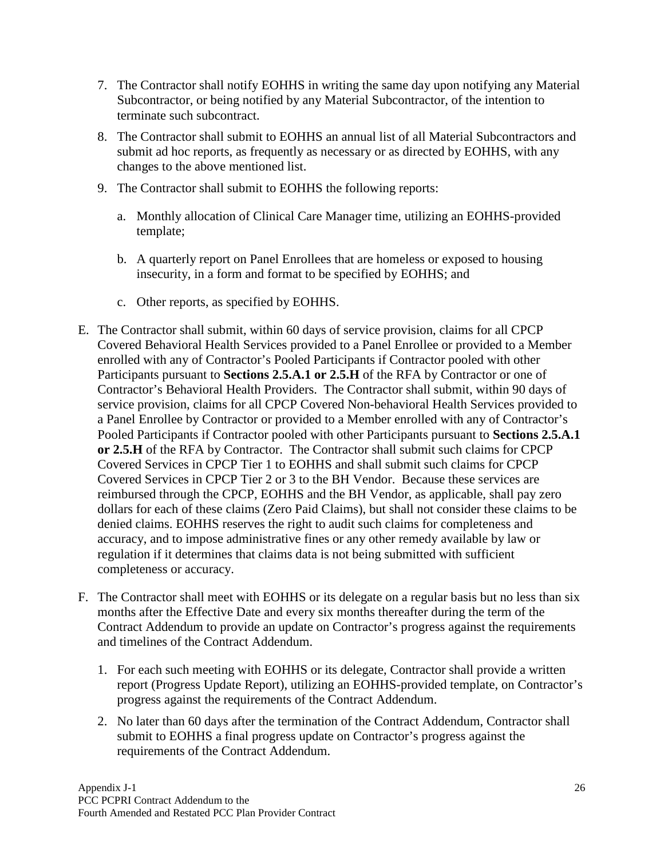- 7. The Contractor shall notify EOHHS in writing the same day upon notifying any Material Subcontractor, or being notified by any Material Subcontractor, of the intention to terminate such subcontract.
- 8. The Contractor shall submit to EOHHS an annual list of all Material Subcontractors and submit ad hoc reports, as frequently as necessary or as directed by EOHHS, with any changes to the above mentioned list.
- 9. The Contractor shall submit to EOHHS the following reports:
	- a. Monthly allocation of Clinical Care Manager time, utilizing an EOHHS-provided template;
	- b. A quarterly report on Panel Enrollees that are homeless or exposed to housing insecurity, in a form and format to be specified by EOHHS; and
	- c. Other reports, as specified by EOHHS.
- E. The Contractor shall submit, within 60 days of service provision, claims for all CPCP Covered Behavioral Health Services provided to a Panel Enrollee or provided to a Member enrolled with any of Contractor's Pooled Participants if Contractor pooled with other Participants pursuant to **Sections 2.5.A.1 or 2.5.H** of the RFA by Contractor or one of Contractor's Behavioral Health Providers. The Contractor shall submit, within 90 days of service provision, claims for all CPCP Covered Non-behavioral Health Services provided to a Panel Enrollee by Contractor or provided to a Member enrolled with any of Contractor's Pooled Participants if Contractor pooled with other Participants pursuant to **Sections 2.5.A.1 or 2.5.H** of the RFA by Contractor. The Contractor shall submit such claims for CPCP Covered Services in CPCP Tier 1 to EOHHS and shall submit such claims for CPCP Covered Services in CPCP Tier 2 or 3 to the BH Vendor. Because these services are reimbursed through the CPCP, EOHHS and the BH Vendor, as applicable, shall pay zero dollars for each of these claims (Zero Paid Claims), but shall not consider these claims to be denied claims. EOHHS reserves the right to audit such claims for completeness and accuracy, and to impose administrative fines or any other remedy available by law or regulation if it determines that claims data is not being submitted with sufficient completeness or accuracy.
- F. The Contractor shall meet with EOHHS or its delegate on a regular basis but no less than six months after the Effective Date and every six months thereafter during the term of the Contract Addendum to provide an update on Contractor's progress against the requirements and timelines of the Contract Addendum.
	- 1. For each such meeting with EOHHS or its delegate, Contractor shall provide a written report (Progress Update Report), utilizing an EOHHS-provided template, on Contractor's progress against the requirements of the Contract Addendum.
	- 2. No later than 60 days after the termination of the Contract Addendum, Contractor shall submit to EOHHS a final progress update on Contractor's progress against the requirements of the Contract Addendum.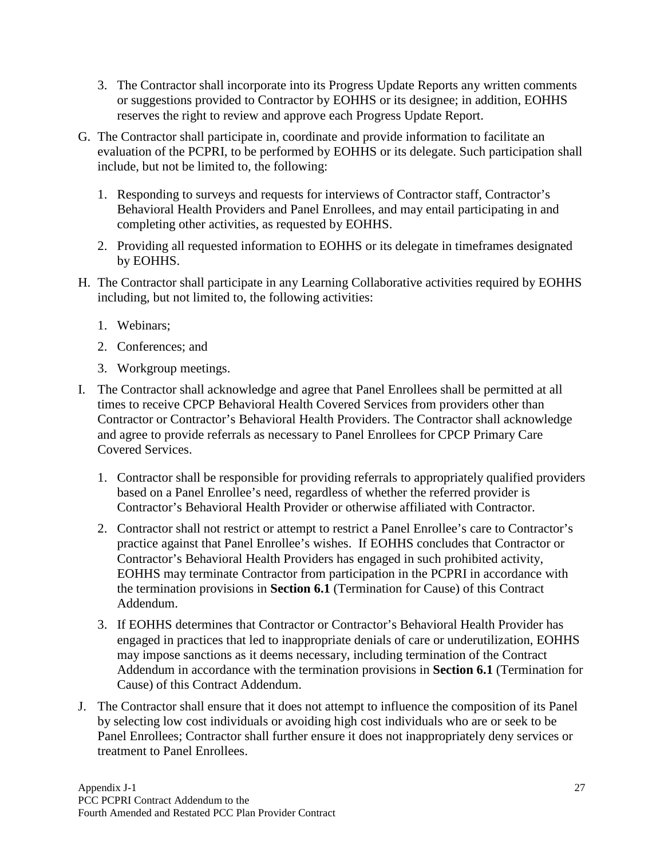- 3. The Contractor shall incorporate into its Progress Update Reports any written comments or suggestions provided to Contractor by EOHHS or its designee; in addition, EOHHS reserves the right to review and approve each Progress Update Report.
- G. The Contractor shall participate in, coordinate and provide information to facilitate an evaluation of the PCPRI, to be performed by EOHHS or its delegate. Such participation shall include, but not be limited to, the following:
	- 1. Responding to surveys and requests for interviews of Contractor staff, Contractor's Behavioral Health Providers and Panel Enrollees, and may entail participating in and completing other activities, as requested by EOHHS.
	- 2. Providing all requested information to EOHHS or its delegate in timeframes designated by EOHHS.
- H. The Contractor shall participate in any Learning Collaborative activities required by EOHHS including, but not limited to, the following activities:
	- 1. Webinars;
	- 2. Conferences; and
	- 3. Workgroup meetings.
- I. The Contractor shall acknowledge and agree that Panel Enrollees shall be permitted at all times to receive CPCP Behavioral Health Covered Services from providers other than Contractor or Contractor's Behavioral Health Providers. The Contractor shall acknowledge and agree to provide referrals as necessary to Panel Enrollees for CPCP Primary Care Covered Services.
	- 1. Contractor shall be responsible for providing referrals to appropriately qualified providers based on a Panel Enrollee's need, regardless of whether the referred provider is Contractor's Behavioral Health Provider or otherwise affiliated with Contractor.
	- 2. Contractor shall not restrict or attempt to restrict a Panel Enrollee's care to Contractor's practice against that Panel Enrollee's wishes. If EOHHS concludes that Contractor or Contractor's Behavioral Health Providers has engaged in such prohibited activity, EOHHS may terminate Contractor from participation in the PCPRI in accordance with the termination provisions in **Section 6.1** (Termination for Cause) of this Contract Addendum.
	- 3. If EOHHS determines that Contractor or Contractor's Behavioral Health Provider has engaged in practices that led to inappropriate denials of care or underutilization, EOHHS may impose sanctions as it deems necessary, including termination of the Contract Addendum in accordance with the termination provisions in **Section 6.1** (Termination for Cause) of this Contract Addendum.
- J. The Contractor shall ensure that it does not attempt to influence the composition of its Panel by selecting low cost individuals or avoiding high cost individuals who are or seek to be Panel Enrollees; Contractor shall further ensure it does not inappropriately deny services or treatment to Panel Enrollees.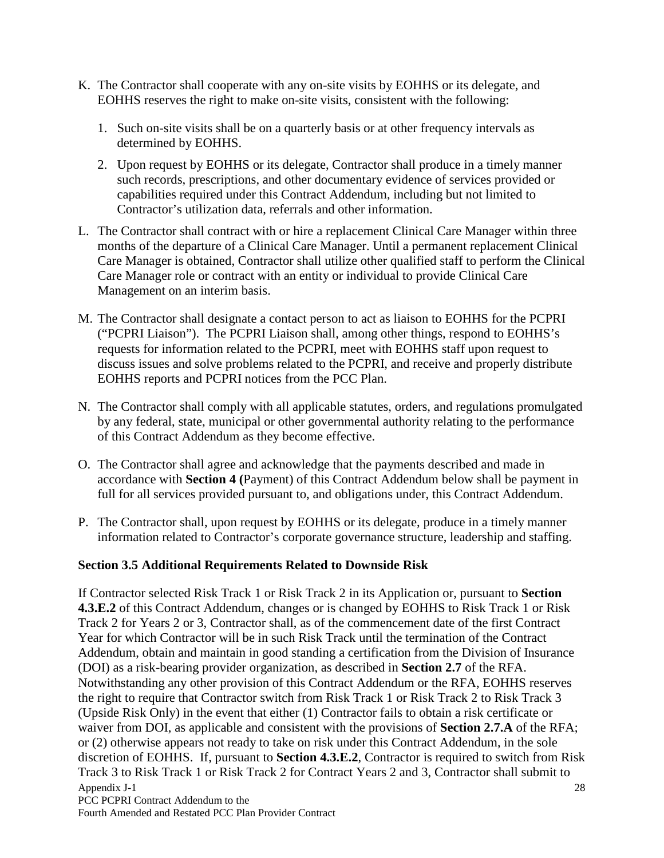- K. The Contractor shall cooperate with any on-site visits by EOHHS or its delegate, and EOHHS reserves the right to make on-site visits, consistent with the following:
	- 1. Such on-site visits shall be on a quarterly basis or at other frequency intervals as determined by EOHHS.
	- 2. Upon request by EOHHS or its delegate, Contractor shall produce in a timely manner such records, prescriptions, and other documentary evidence of services provided or capabilities required under this Contract Addendum, including but not limited to Contractor's utilization data, referrals and other information.
- L. The Contractor shall contract with or hire a replacement Clinical Care Manager within three months of the departure of a Clinical Care Manager. Until a permanent replacement Clinical Care Manager is obtained, Contractor shall utilize other qualified staff to perform the Clinical Care Manager role or contract with an entity or individual to provide Clinical Care Management on an interim basis.
- M. The Contractor shall designate a contact person to act as liaison to EOHHS for the PCPRI ("PCPRI Liaison"). The PCPRI Liaison shall, among other things, respond to EOHHS's requests for information related to the PCPRI, meet with EOHHS staff upon request to discuss issues and solve problems related to the PCPRI, and receive and properly distribute EOHHS reports and PCPRI notices from the PCC Plan.
- N. The Contractor shall comply with all applicable statutes, orders, and regulations promulgated by any federal, state, municipal or other governmental authority relating to the performance of this Contract Addendum as they become effective.
- O. The Contractor shall agree and acknowledge that the payments described and made in accordance with **Section 4 (**Payment) of this Contract Addendum below shall be payment in full for all services provided pursuant to, and obligations under, this Contract Addendum.
- P. The Contractor shall, upon request by EOHHS or its delegate, produce in a timely manner information related to Contractor's corporate governance structure, leadership and staffing.

### <span id="page-30-0"></span>**Section 3.5 Additional Requirements Related to Downside Risk**

Appendix J-1 PCC PCPRI Contract Addendum to the 28 If Contractor selected Risk Track 1 or Risk Track 2 in its Application or, pursuant to **Section 4.3.E.2** of this Contract Addendum, changes or is changed by EOHHS to Risk Track 1 or Risk Track 2 for Years 2 or 3, Contractor shall, as of the commencement date of the first Contract Year for which Contractor will be in such Risk Track until the termination of the Contract Addendum, obtain and maintain in good standing a certification from the Division of Insurance (DOI) as a risk-bearing provider organization, as described in **Section 2.7** of the RFA. Notwithstanding any other provision of this Contract Addendum or the RFA, EOHHS reserves the right to require that Contractor switch from Risk Track 1 or Risk Track 2 to Risk Track 3 (Upside Risk Only) in the event that either (1) Contractor fails to obtain a risk certificate or waiver from DOI, as applicable and consistent with the provisions of **Section 2.7.A** of the RFA; or (2) otherwise appears not ready to take on risk under this Contract Addendum, in the sole discretion of EOHHS. If, pursuant to **Section 4.3.E.2**, Contractor is required to switch from Risk Track 3 to Risk Track 1 or Risk Track 2 for Contract Years 2 and 3, Contractor shall submit to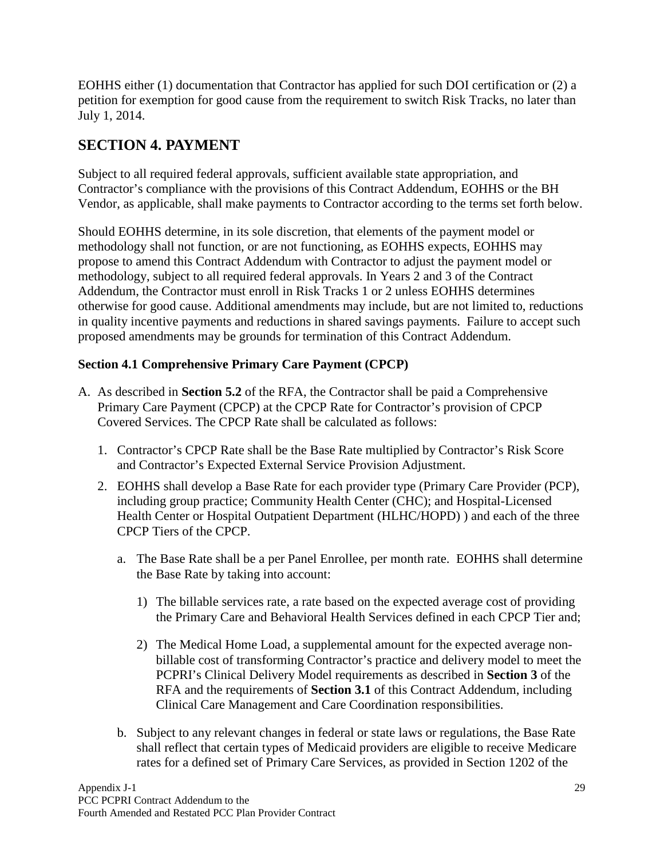EOHHS either (1) documentation that Contractor has applied for such DOI certification or (2) a petition for exemption for good cause from the requirement to switch Risk Tracks, no later than July 1, 2014.

# <span id="page-31-0"></span>**SECTION 4. PAYMENT**

Subject to all required federal approvals, sufficient available state appropriation, and Contractor's compliance with the provisions of this Contract Addendum, EOHHS or the BH Vendor, as applicable, shall make payments to Contractor according to the terms set forth below.

Should EOHHS determine, in its sole discretion, that elements of the payment model or methodology shall not function, or are not functioning, as EOHHS expects, EOHHS may propose to amend this Contract Addendum with Contractor to adjust the payment model or methodology, subject to all required federal approvals. In Years 2 and 3 of the Contract Addendum, the Contractor must enroll in Risk Tracks 1 or 2 unless EOHHS determines otherwise for good cause. Additional amendments may include, but are not limited to, reductions in quality incentive payments and reductions in shared savings payments. Failure to accept such proposed amendments may be grounds for termination of this Contract Addendum.

### <span id="page-31-1"></span>**Section 4.1 Comprehensive Primary Care Payment (CPCP)**

- A. As described in **Section 5.2** of the RFA, the Contractor shall be paid a Comprehensive Primary Care Payment (CPCP) at the CPCP Rate for Contractor's provision of CPCP Covered Services. The CPCP Rate shall be calculated as follows:
	- 1. Contractor's CPCP Rate shall be the Base Rate multiplied by Contractor's Risk Score and Contractor's Expected External Service Provision Adjustment.
	- 2. EOHHS shall develop a Base Rate for each provider type (Primary Care Provider (PCP), including group practice; Community Health Center (CHC); and Hospital-Licensed Health Center or Hospital Outpatient Department (HLHC/HOPD) ) and each of the three CPCP Tiers of the CPCP.
		- a. The Base Rate shall be a per Panel Enrollee, per month rate. EOHHS shall determine the Base Rate by taking into account:
			- 1) The billable services rate, a rate based on the expected average cost of providing the Primary Care and Behavioral Health Services defined in each CPCP Tier and;
			- 2) The Medical Home Load, a supplemental amount for the expected average nonbillable cost of transforming Contractor's practice and delivery model to meet the PCPRI's Clinical Delivery Model requirements as described in **Section 3** of the RFA and the requirements of **Section 3.1** of this Contract Addendum, including Clinical Care Management and Care Coordination responsibilities.
		- b. Subject to any relevant changes in federal or state laws or regulations, the Base Rate shall reflect that certain types of Medicaid providers are eligible to receive Medicare rates for a defined set of Primary Care Services, as provided in Section 1202 of the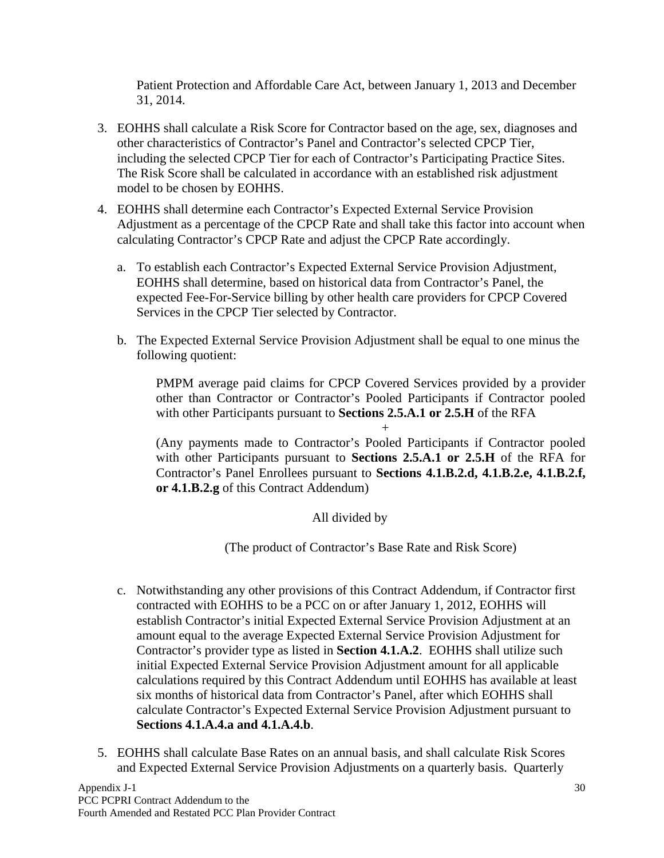Patient Protection and Affordable Care Act, between January 1, 2013 and December 31, 2014.

- 3. EOHHS shall calculate a Risk Score for Contractor based on the age, sex, diagnoses and other characteristics of Contractor's Panel and Contractor's selected CPCP Tier, including the selected CPCP Tier for each of Contractor's Participating Practice Sites. The Risk Score shall be calculated in accordance with an established risk adjustment model to be chosen by EOHHS.
- 4. EOHHS shall determine each Contractor's Expected External Service Provision Adjustment as a percentage of the CPCP Rate and shall take this factor into account when calculating Contractor's CPCP Rate and adjust the CPCP Rate accordingly.
	- a. To establish each Contractor's Expected External Service Provision Adjustment, EOHHS shall determine, based on historical data from Contractor's Panel, the expected Fee-For-Service billing by other health care providers for CPCP Covered Services in the CPCP Tier selected by Contractor.
	- b. The Expected External Service Provision Adjustment shall be equal to one minus the following quotient:

PMPM average paid claims for CPCP Covered Services provided by a provider other than Contractor or Contractor's Pooled Participants if Contractor pooled with other Participants pursuant to **Sections 2.5.A.1 or 2.5.H** of the RFA

+

(Any payments made to Contractor's Pooled Participants if Contractor pooled with other Participants pursuant to **Sections 2.5.A.1 or 2.5.H** of the RFA for Contractor's Panel Enrollees pursuant to **Sections 4.1.B.2.d, 4.1.B.2.e, 4.1.B.2.f, or 4.1.B.2.g** of this Contract Addendum)

All divided by

(The product of Contractor's Base Rate and Risk Score)

- c. Notwithstanding any other provisions of this Contract Addendum, if Contractor first contracted with EOHHS to be a PCC on or after January 1, 2012, EOHHS will establish Contractor's initial Expected External Service Provision Adjustment at an amount equal to the average Expected External Service Provision Adjustment for Contractor's provider type as listed in **Section 4.1.A.2**. EOHHS shall utilize such initial Expected External Service Provision Adjustment amount for all applicable calculations required by this Contract Addendum until EOHHS has available at least six months of historical data from Contractor's Panel, after which EOHHS shall calculate Contractor's Expected External Service Provision Adjustment pursuant to **Sections 4.1.A.4.a and 4.1.A.4.b**.
- 5. EOHHS shall calculate Base Rates on an annual basis, and shall calculate Risk Scores and Expected External Service Provision Adjustments on a quarterly basis. Quarterly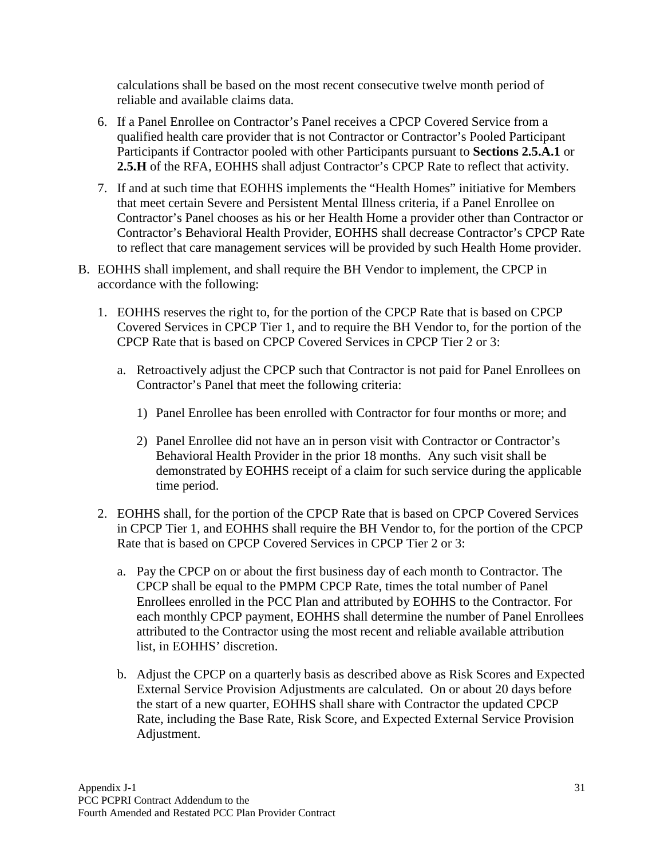calculations shall be based on the most recent consecutive twelve month period of reliable and available claims data.

- 6. If a Panel Enrollee on Contractor's Panel receives a CPCP Covered Service from a qualified health care provider that is not Contractor or Contractor's Pooled Participant Participants if Contractor pooled with other Participants pursuant to **Sections 2.5.A.1** or **2.5.H** of the RFA, EOHHS shall adjust Contractor's CPCP Rate to reflect that activity.
- 7. If and at such time that EOHHS implements the "Health Homes" initiative for Members that meet certain Severe and Persistent Mental Illness criteria, if a Panel Enrollee on Contractor's Panel chooses as his or her Health Home a provider other than Contractor or Contractor's Behavioral Health Provider, EOHHS shall decrease Contractor's CPCP Rate to reflect that care management services will be provided by such Health Home provider.
- B. EOHHS shall implement, and shall require the BH Vendor to implement, the CPCP in accordance with the following:
	- 1. EOHHS reserves the right to, for the portion of the CPCP Rate that is based on CPCP Covered Services in CPCP Tier 1, and to require the BH Vendor to, for the portion of the CPCP Rate that is based on CPCP Covered Services in CPCP Tier 2 or 3:
		- a. Retroactively adjust the CPCP such that Contractor is not paid for Panel Enrollees on Contractor's Panel that meet the following criteria:
			- 1) Panel Enrollee has been enrolled with Contractor for four months or more; and
			- 2) Panel Enrollee did not have an in person visit with Contractor or Contractor's Behavioral Health Provider in the prior 18 months. Any such visit shall be demonstrated by EOHHS receipt of a claim for such service during the applicable time period.
	- 2. EOHHS shall, for the portion of the CPCP Rate that is based on CPCP Covered Services in CPCP Tier 1, and EOHHS shall require the BH Vendor to, for the portion of the CPCP Rate that is based on CPCP Covered Services in CPCP Tier 2 or 3:
		- a. Pay the CPCP on or about the first business day of each month to Contractor. The CPCP shall be equal to the PMPM CPCP Rate, times the total number of Panel Enrollees enrolled in the PCC Plan and attributed by EOHHS to the Contractor. For each monthly CPCP payment, EOHHS shall determine the number of Panel Enrollees attributed to the Contractor using the most recent and reliable available attribution list, in EOHHS' discretion.
		- b. Adjust the CPCP on a quarterly basis as described above as Risk Scores and Expected External Service Provision Adjustments are calculated. On or about 20 days before the start of a new quarter, EOHHS shall share with Contractor the updated CPCP Rate, including the Base Rate, Risk Score, and Expected External Service Provision Adjustment.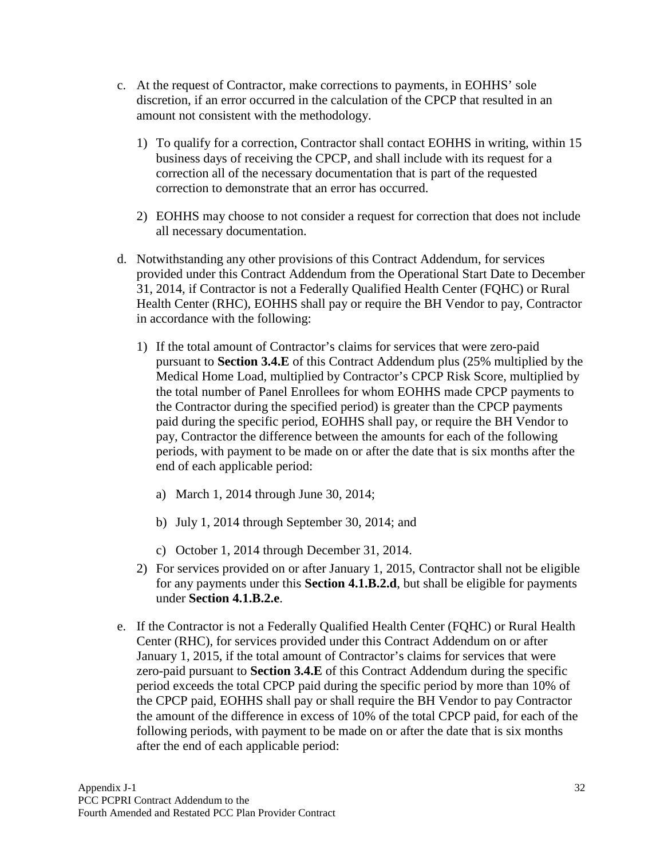- c. At the request of Contractor, make corrections to payments, in EOHHS' sole discretion, if an error occurred in the calculation of the CPCP that resulted in an amount not consistent with the methodology.
	- 1) To qualify for a correction, Contractor shall contact EOHHS in writing, within 15 business days of receiving the CPCP, and shall include with its request for a correction all of the necessary documentation that is part of the requested correction to demonstrate that an error has occurred.
	- 2) EOHHS may choose to not consider a request for correction that does not include all necessary documentation.
- d. Notwithstanding any other provisions of this Contract Addendum, for services provided under this Contract Addendum from the Operational Start Date to December 31, 2014, if Contractor is not a Federally Qualified Health Center (FQHC) or Rural Health Center (RHC), EOHHS shall pay or require the BH Vendor to pay, Contractor in accordance with the following:
	- 1) If the total amount of Contractor's claims for services that were zero-paid pursuant to **Section 3.4.E** of this Contract Addendum plus (25% multiplied by the Medical Home Load, multiplied by Contractor's CPCP Risk Score, multiplied by the total number of Panel Enrollees for whom EOHHS made CPCP payments to the Contractor during the specified period) is greater than the CPCP payments paid during the specific period, EOHHS shall pay, or require the BH Vendor to pay, Contractor the difference between the amounts for each of the following periods, with payment to be made on or after the date that is six months after the end of each applicable period:
		- a) March 1, 2014 through June 30, 2014;
		- b) July 1, 2014 through September 30, 2014; and
		- c) October 1, 2014 through December 31, 2014.
	- 2) For services provided on or after January 1, 2015, Contractor shall not be eligible for any payments under this **Section 4.1.B.2.d**, but shall be eligible for payments under **Section 4.1.B.2.e**.
- e. If the Contractor is not a Federally Qualified Health Center (FQHC) or Rural Health Center (RHC), for services provided under this Contract Addendum on or after January 1, 2015, if the total amount of Contractor's claims for services that were zero-paid pursuant to **Section 3.4.E** of this Contract Addendum during the specific period exceeds the total CPCP paid during the specific period by more than 10% of the CPCP paid, EOHHS shall pay or shall require the BH Vendor to pay Contractor the amount of the difference in excess of 10% of the total CPCP paid, for each of the following periods, with payment to be made on or after the date that is six months after the end of each applicable period: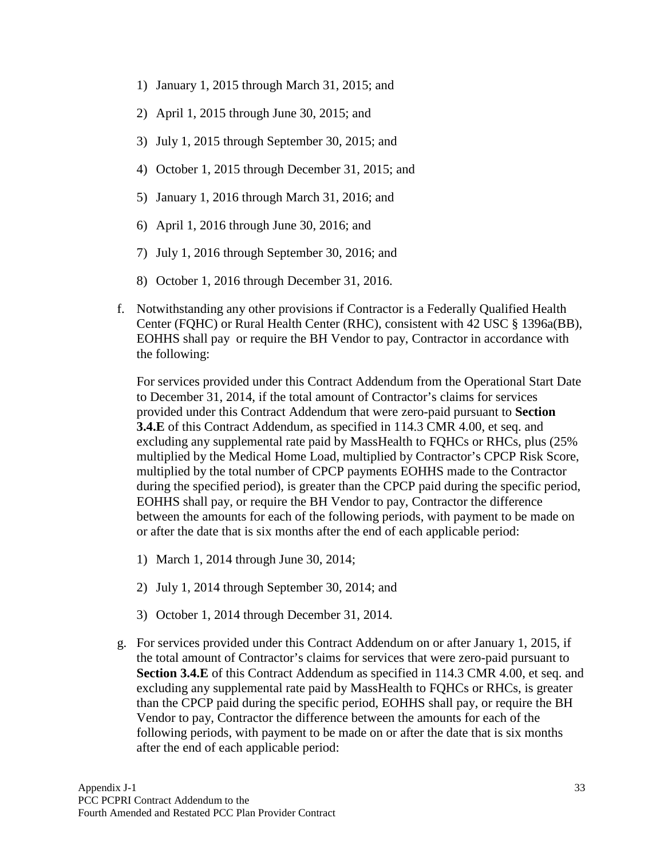- 1) January 1, 2015 through March 31, 2015; and
- 2) April 1, 2015 through June 30, 2015; and
- 3) July 1, 2015 through September 30, 2015; and
- 4) October 1, 2015 through December 31, 2015; and
- 5) January 1, 2016 through March 31, 2016; and
- 6) April 1, 2016 through June 30, 2016; and
- 7) July 1, 2016 through September 30, 2016; and
- 8) October 1, 2016 through December 31, 2016.
- f. Notwithstanding any other provisions if Contractor is a Federally Qualified Health Center (FQHC) or Rural Health Center (RHC), consistent with 42 USC § 1396a(BB), EOHHS shall pay or require the BH Vendor to pay, Contractor in accordance with the following:

For services provided under this Contract Addendum from the Operational Start Date to December 31, 2014, if the total amount of Contractor's claims for services provided under this Contract Addendum that were zero-paid pursuant to **Section 3.4.E** of this Contract Addendum, as specified in 114.3 CMR 4.00, et seq. and excluding any supplemental rate paid by MassHealth to FQHCs or RHCs, plus (25% multiplied by the Medical Home Load, multiplied by Contractor's CPCP Risk Score, multiplied by the total number of CPCP payments EOHHS made to the Contractor during the specified period), is greater than the CPCP paid during the specific period, EOHHS shall pay, or require the BH Vendor to pay, Contractor the difference between the amounts for each of the following periods, with payment to be made on or after the date that is six months after the end of each applicable period:

- 1) March 1, 2014 through June 30, 2014;
- 2) July 1, 2014 through September 30, 2014; and
- 3) October 1, 2014 through December 31, 2014.
- g. For services provided under this Contract Addendum on or after January 1, 2015, if the total amount of Contractor's claims for services that were zero-paid pursuant to **Section 3.4.E** of this Contract Addendum as specified in 114.3 CMR 4.00, et seq. and excluding any supplemental rate paid by MassHealth to FQHCs or RHCs, is greater than the CPCP paid during the specific period, EOHHS shall pay, or require the BH Vendor to pay, Contractor the difference between the amounts for each of the following periods, with payment to be made on or after the date that is six months after the end of each applicable period: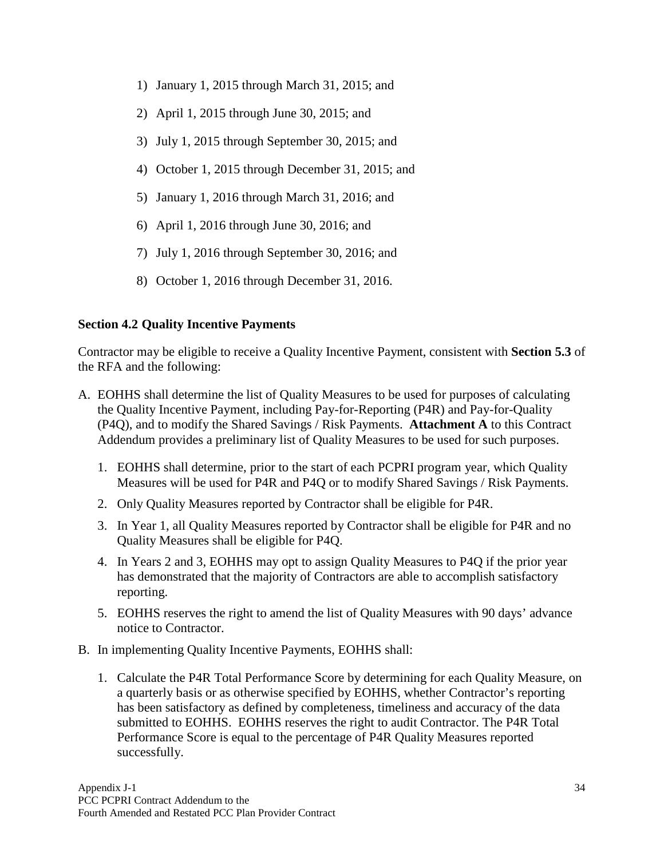- 1) January 1, 2015 through March 31, 2015; and
- 2) April 1, 2015 through June 30, 2015; and
- 3) July 1, 2015 through September 30, 2015; and
- 4) October 1, 2015 through December 31, 2015; and
- 5) January 1, 2016 through March 31, 2016; and
- 6) April 1, 2016 through June 30, 2016; and
- 7) July 1, 2016 through September 30, 2016; and
- 8) October 1, 2016 through December 31, 2016.

### <span id="page-36-0"></span>**Section 4.2 Quality Incentive Payments**

Contractor may be eligible to receive a Quality Incentive Payment, consistent with **Section 5.3** of the RFA and the following:

- A. EOHHS shall determine the list of Quality Measures to be used for purposes of calculating the Quality Incentive Payment, including Pay-for-Reporting (P4R) and Pay-for-Quality (P4Q), and to modify the Shared Savings / Risk Payments. **Attachment A** to this Contract Addendum provides a preliminary list of Quality Measures to be used for such purposes.
	- 1. EOHHS shall determine, prior to the start of each PCPRI program year, which Quality Measures will be used for P4R and P4Q or to modify Shared Savings / Risk Payments.
	- 2. Only Quality Measures reported by Contractor shall be eligible for P4R.
	- 3. In Year 1, all Quality Measures reported by Contractor shall be eligible for P4R and no Quality Measures shall be eligible for P4Q.
	- 4. In Years 2 and 3, EOHHS may opt to assign Quality Measures to P4Q if the prior year has demonstrated that the majority of Contractors are able to accomplish satisfactory reporting.
	- 5. EOHHS reserves the right to amend the list of Quality Measures with 90 days' advance notice to Contractor.
- B. In implementing Quality Incentive Payments, EOHHS shall:
	- 1. Calculate the P4R Total Performance Score by determining for each Quality Measure, on a quarterly basis or as otherwise specified by EOHHS, whether Contractor's reporting has been satisfactory as defined by completeness, timeliness and accuracy of the data submitted to EOHHS. EOHHS reserves the right to audit Contractor. The P4R Total Performance Score is equal to the percentage of P4R Quality Measures reported successfully.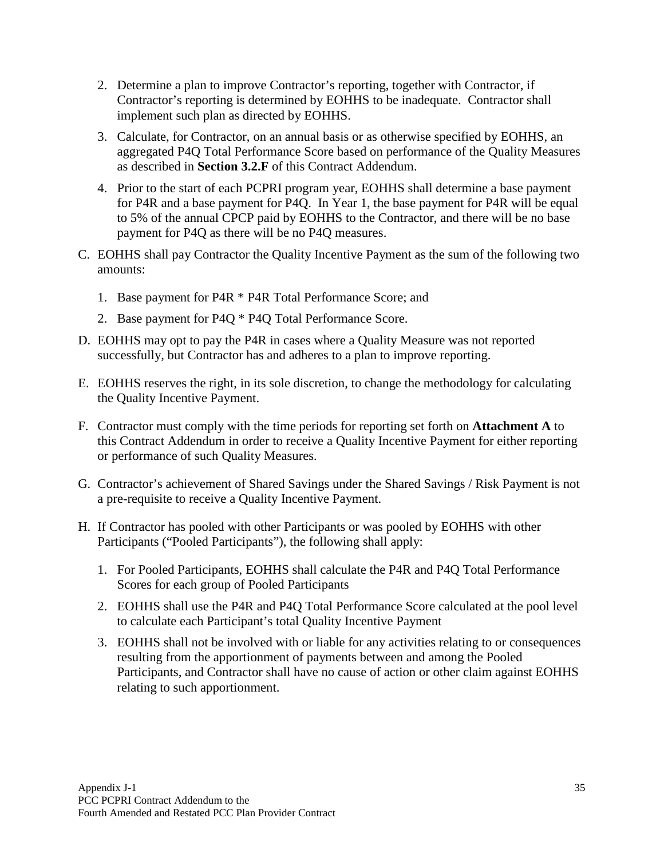- 2. Determine a plan to improve Contractor's reporting, together with Contractor, if Contractor's reporting is determined by EOHHS to be inadequate. Contractor shall implement such plan as directed by EOHHS.
- 3. Calculate, for Contractor, on an annual basis or as otherwise specified by EOHHS, an aggregated P4Q Total Performance Score based on performance of the Quality Measures as described in **Section 3.2.F** of this Contract Addendum.
- 4. Prior to the start of each PCPRI program year, EOHHS shall determine a base payment for P4R and a base payment for P4Q. In Year 1, the base payment for P4R will be equal to 5% of the annual CPCP paid by EOHHS to the Contractor, and there will be no base payment for P4Q as there will be no P4Q measures.
- C. EOHHS shall pay Contractor the Quality Incentive Payment as the sum of the following two amounts:
	- 1. Base payment for P4R \* P4R Total Performance Score; and
	- 2. Base payment for P4Q \* P4Q Total Performance Score.
- D. EOHHS may opt to pay the P4R in cases where a Quality Measure was not reported successfully, but Contractor has and adheres to a plan to improve reporting.
- E. EOHHS reserves the right, in its sole discretion, to change the methodology for calculating the Quality Incentive Payment.
- F. Contractor must comply with the time periods for reporting set forth on **Attachment A** to this Contract Addendum in order to receive a Quality Incentive Payment for either reporting or performance of such Quality Measures.
- G. Contractor's achievement of Shared Savings under the Shared Savings / Risk Payment is not a pre-requisite to receive a Quality Incentive Payment.
- <span id="page-37-0"></span>H. If Contractor has pooled with other Participants or was pooled by EOHHS with other Participants ("Pooled Participants"), the following shall apply:
	- 1. For Pooled Participants, EOHHS shall calculate the P4R and P4Q Total Performance Scores for each group of Pooled Participants
	- 2. EOHHS shall use the P4R and P4Q Total Performance Score calculated at the pool level to calculate each Participant's total Quality Incentive Payment
	- 3. EOHHS shall not be involved with or liable for any activities relating to or consequences resulting from the apportionment of payments between and among the Pooled Participants, and Contractor shall have no cause of action or other claim against EOHHS relating to such apportionment.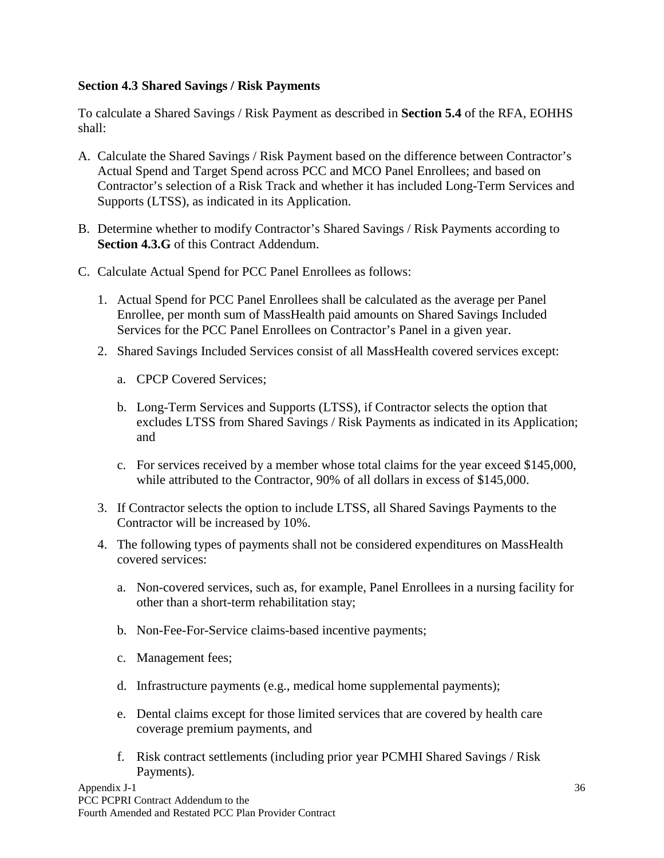#### **Section 4.3 Shared Savings / Risk Payments**

To calculate a Shared Savings / Risk Payment as described in **Section 5.4** of the RFA, EOHHS shall:

- A. Calculate the Shared Savings / Risk Payment based on the difference between Contractor's Actual Spend and Target Spend across PCC and MCO Panel Enrollees; and based on Contractor's selection of a Risk Track and whether it has included Long-Term Services and Supports (LTSS), as indicated in its Application.
- B. Determine whether to modify Contractor's Shared Savings / Risk Payments according to **Section 4.3.G** of this Contract Addendum.
- C. Calculate Actual Spend for PCC Panel Enrollees as follows:
	- 1. Actual Spend for PCC Panel Enrollees shall be calculated as the average per Panel Enrollee, per month sum of MassHealth paid amounts on Shared Savings Included Services for the PCC Panel Enrollees on Contractor's Panel in a given year.
	- 2. Shared Savings Included Services consist of all MassHealth covered services except:
		- a. CPCP Covered Services;
		- b. Long-Term Services and Supports (LTSS), if Contractor selects the option that excludes LTSS from Shared Savings / Risk Payments as indicated in its Application; and
		- c. For services received by a member whose total claims for the year exceed \$145,000, while attributed to the Contractor, 90% of all dollars in excess of \$145,000.
	- 3. If Contractor selects the option to include LTSS, all Shared Savings Payments to the Contractor will be increased by 10%.
	- 4. The following types of payments shall not be considered expenditures on MassHealth covered services:
		- a. Non-covered services, such as, for example, Panel Enrollees in a nursing facility for other than a short-term rehabilitation stay;
		- b. Non-Fee-For-Service claims-based incentive payments;
		- c. Management fees;
		- d. Infrastructure payments (e.g., medical home supplemental payments);
		- e. Dental claims except for those limited services that are covered by health care coverage premium payments, and
		- f. Risk contract settlements (including prior year PCMHI Shared Savings / Risk Payments).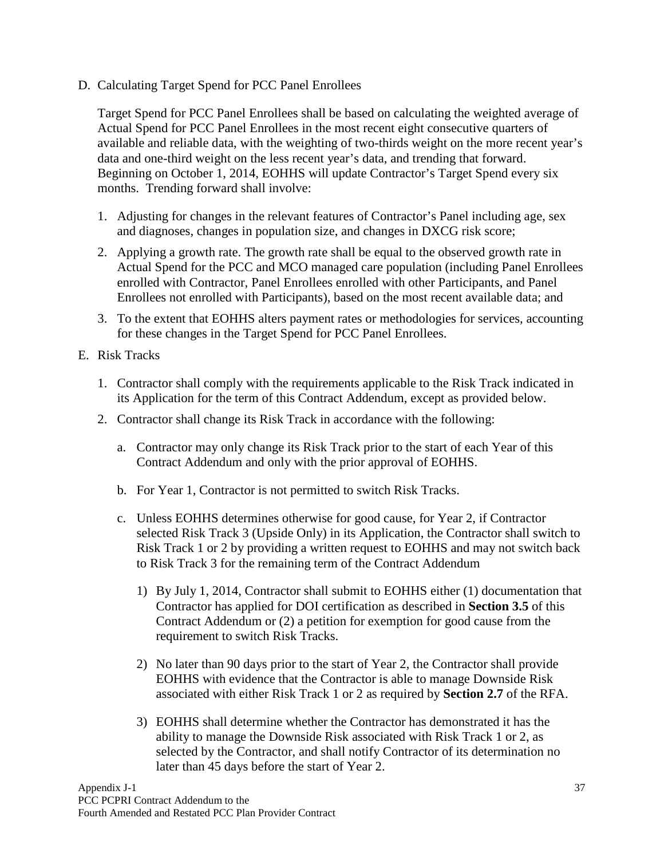D. Calculating Target Spend for PCC Panel Enrollees

Target Spend for PCC Panel Enrollees shall be based on calculating the weighted average of Actual Spend for PCC Panel Enrollees in the most recent eight consecutive quarters of available and reliable data, with the weighting of two-thirds weight on the more recent year's data and one-third weight on the less recent year's data, and trending that forward. Beginning on October 1, 2014, EOHHS will update Contractor's Target Spend every six months. Trending forward shall involve:

- 1. Adjusting for changes in the relevant features of Contractor's Panel including age, sex and diagnoses, changes in population size, and changes in DXCG risk score;
- 2. Applying a growth rate. The growth rate shall be equal to the observed growth rate in Actual Spend for the PCC and MCO managed care population (including Panel Enrollees enrolled with Contractor, Panel Enrollees enrolled with other Participants, and Panel Enrollees not enrolled with Participants), based on the most recent available data; and
- 3. To the extent that EOHHS alters payment rates or methodologies for services, accounting for these changes in the Target Spend for PCC Panel Enrollees.
- E. Risk Tracks
	- 1. Contractor shall comply with the requirements applicable to the Risk Track indicated in its Application for the term of this Contract Addendum, except as provided below.
	- 2. Contractor shall change its Risk Track in accordance with the following:
		- a. Contractor may only change its Risk Track prior to the start of each Year of this Contract Addendum and only with the prior approval of EOHHS.
		- b. For Year 1, Contractor is not permitted to switch Risk Tracks.
		- c. Unless EOHHS determines otherwise for good cause, for Year 2, if Contractor selected Risk Track 3 (Upside Only) in its Application, the Contractor shall switch to Risk Track 1 or 2 by providing a written request to EOHHS and may not switch back to Risk Track 3 for the remaining term of the Contract Addendum
			- 1) By July 1, 2014, Contractor shall submit to EOHHS either (1) documentation that Contractor has applied for DOI certification as described in **Section 3.5** of this Contract Addendum or (2) a petition for exemption for good cause from the requirement to switch Risk Tracks.
			- 2) No later than 90 days prior to the start of Year 2, the Contractor shall provide EOHHS with evidence that the Contractor is able to manage Downside Risk associated with either Risk Track 1 or 2 as required by **Section 2.7** of the RFA.
			- 3) EOHHS shall determine whether the Contractor has demonstrated it has the ability to manage the Downside Risk associated with Risk Track 1 or 2, as selected by the Contractor, and shall notify Contractor of its determination no later than 45 days before the start of Year 2.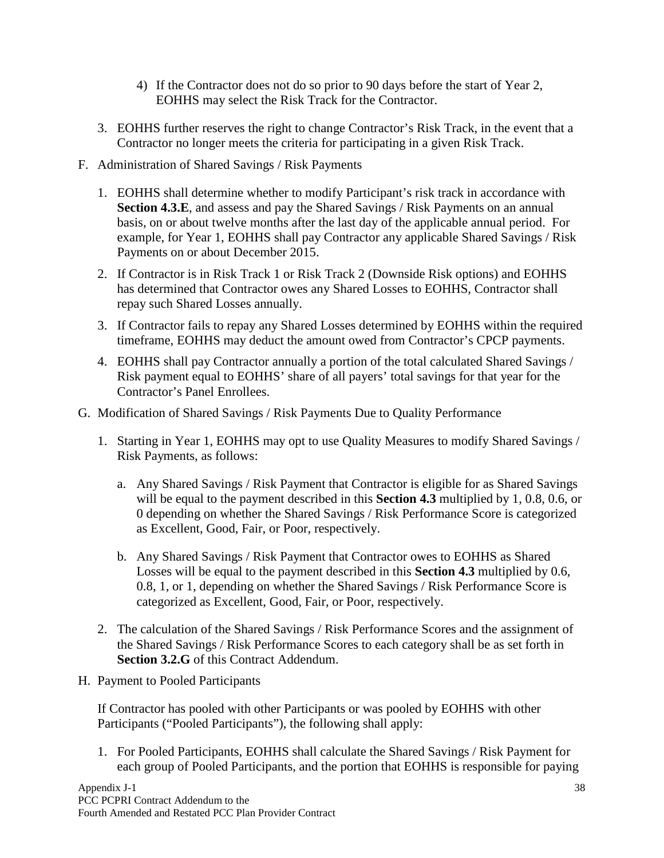- 4) If the Contractor does not do so prior to 90 days before the start of Year 2, EOHHS may select the Risk Track for the Contractor.
- 3. EOHHS further reserves the right to change Contractor's Risk Track, in the event that a Contractor no longer meets the criteria for participating in a given Risk Track.
- F. Administration of Shared Savings / Risk Payments
	- 1. EOHHS shall determine whether to modify Participant's risk track in accordance with **Section 4.3.E**, and assess and pay the Shared Savings / Risk Payments on an annual basis, on or about twelve months after the last day of the applicable annual period. For example, for Year 1, EOHHS shall pay Contractor any applicable Shared Savings / Risk Payments on or about December 2015.
	- 2. If Contractor is in Risk Track 1 or Risk Track 2 (Downside Risk options) and EOHHS has determined that Contractor owes any Shared Losses to EOHHS, Contractor shall repay such Shared Losses annually.
	- 3. If Contractor fails to repay any Shared Losses determined by EOHHS within the required timeframe, EOHHS may deduct the amount owed from Contractor's CPCP payments.
	- 4. EOHHS shall pay Contractor annually a portion of the total calculated Shared Savings / Risk payment equal to EOHHS' share of all payers' total savings for that year for the Contractor's Panel Enrollees.
- G. Modification of Shared Savings / Risk Payments Due to Quality Performance
	- 1. Starting in Year 1, EOHHS may opt to use Quality Measures to modify Shared Savings / Risk Payments, as follows:
		- a. Any Shared Savings / Risk Payment that Contractor is eligible for as Shared Savings will be equal to the payment described in this **Section 4.3** multiplied by 1, 0.8, 0.6, or 0 depending on whether the Shared Savings / Risk Performance Score is categorized as Excellent, Good, Fair, or Poor, respectively.
		- b. Any Shared Savings / Risk Payment that Contractor owes to EOHHS as Shared Losses will be equal to the payment described in this **Section 4.3** multiplied by 0.6, 0.8, 1, or 1, depending on whether the Shared Savings / Risk Performance Score is categorized as Excellent, Good, Fair, or Poor, respectively.
	- 2. The calculation of the Shared Savings / Risk Performance Scores and the assignment of the Shared Savings / Risk Performance Scores to each category shall be as set forth in **Section 3.2.G** of this Contract Addendum.
- H. Payment to Pooled Participants

If Contractor has pooled with other Participants or was pooled by EOHHS with other Participants ("Pooled Participants"), the following shall apply:

1. For Pooled Participants, EOHHS shall calculate the Shared Savings / Risk Payment for each group of Pooled Participants, and the portion that EOHHS is responsible for paying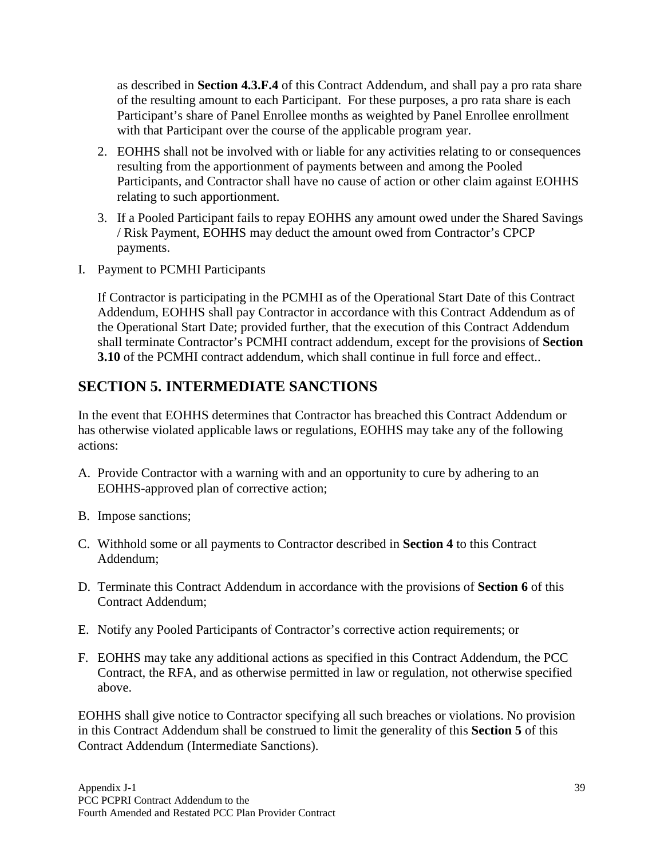as described in **Section 4.3.F.4** of this Contract Addendum, and shall pay a pro rata share of the resulting amount to each Participant. For these purposes, a pro rata share is each Participant's share of Panel Enrollee months as weighted by Panel Enrollee enrollment with that Participant over the course of the applicable program year.

- 2. EOHHS shall not be involved with or liable for any activities relating to or consequences resulting from the apportionment of payments between and among the Pooled Participants, and Contractor shall have no cause of action or other claim against EOHHS relating to such apportionment.
- 3. If a Pooled Participant fails to repay EOHHS any amount owed under the Shared Savings / Risk Payment, EOHHS may deduct the amount owed from Contractor's CPCP payments.
- I. Payment to PCMHI Participants

If Contractor is participating in the PCMHI as of the Operational Start Date of this Contract Addendum, EOHHS shall pay Contractor in accordance with this Contract Addendum as of the Operational Start Date; provided further, that the execution of this Contract Addendum shall terminate Contractor's PCMHI contract addendum, except for the provisions of **Section 3.10** of the PCMHI contract addendum, which shall continue in full force and effect..

# <span id="page-41-0"></span>**SECTION 5. INTERMEDIATE SANCTIONS**

In the event that EOHHS determines that Contractor has breached this Contract Addendum or has otherwise violated applicable laws or regulations, EOHHS may take any of the following actions:

- A. Provide Contractor with a warning with and an opportunity to cure by adhering to an EOHHS-approved plan of corrective action;
- B. Impose sanctions;
- C. Withhold some or all payments to Contractor described in **Section 4** to this Contract Addendum;
- D. Terminate this Contract Addendum in accordance with the provisions of **Section 6** of this Contract Addendum;
- E. Notify any Pooled Participants of Contractor's corrective action requirements; or
- F. EOHHS may take any additional actions as specified in this Contract Addendum, the PCC Contract, the RFA, and as otherwise permitted in law or regulation, not otherwise specified above.

EOHHS shall give notice to Contractor specifying all such breaches or violations. No provision in this Contract Addendum shall be construed to limit the generality of this **Section 5** of this Contract Addendum (Intermediate Sanctions).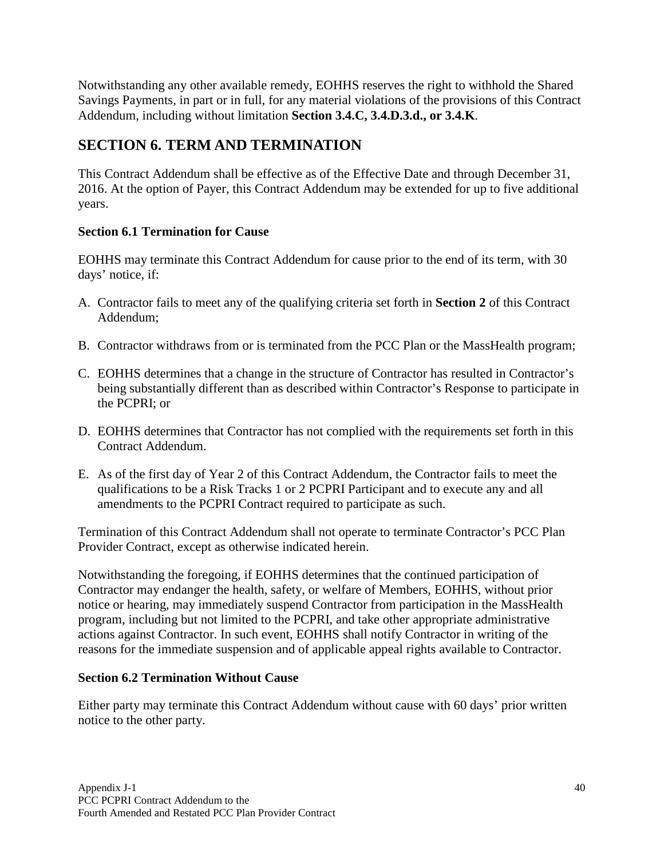Notwithstanding any other available remedy, EOHHS reserves the right to withhold the Shared Savings Payments, in part or in full, for any material violations of the provisions of this Contract Addendum, including without limitation **Section 3.4.C, 3.4.D.3.d., or 3.4.K**.

# <span id="page-42-0"></span>**SECTION 6. TERM AND TERMINATION**

This Contract Addendum shall be effective as of the Effective Date and through December 31, 2016. At the option of Payer, this Contract Addendum may be extended for up to five additional years.

### <span id="page-42-1"></span>**Section 6.1 Termination for Cause**

EOHHS may terminate this Contract Addendum for cause prior to the end of its term, with 30 days' notice, if:

- A. Contractor fails to meet any of the qualifying criteria set forth in **Section 2** of this Contract Addendum;
- B. Contractor withdraws from or is terminated from the PCC Plan or the MassHealth program;
- C. EOHHS determines that a change in the structure of Contractor has resulted in Contractor's being substantially different than as described within Contractor's Response to participate in the PCPRI; or
- D. EOHHS determines that Contractor has not complied with the requirements set forth in this Contract Addendum.
- E. As of the first day of Year 2 of this Contract Addendum, the Contractor fails to meet the qualifications to be a Risk Tracks 1 or 2 PCPRI Participant and to execute any and all amendments to the PCPRI Contract required to participate as such.

Termination of this Contract Addendum shall not operate to terminate Contractor's PCC Plan Provider Contract, except as otherwise indicated herein.

Notwithstanding the foregoing, if EOHHS determines that the continued participation of Contractor may endanger the health, safety, or welfare of Members, EOHHS, without prior notice or hearing, may immediately suspend Contractor from participation in the MassHealth program, including but not limited to the PCPRI, and take other appropriate administrative actions against Contractor. In such event, EOHHS shall notify Contractor in writing of the reasons for the immediate suspension and of applicable appeal rights available to Contractor.

### <span id="page-42-2"></span>**Section 6.2 Termination Without Cause**

<span id="page-42-3"></span>Either party may terminate this Contract Addendum without cause with 60 days' prior written notice to the other party.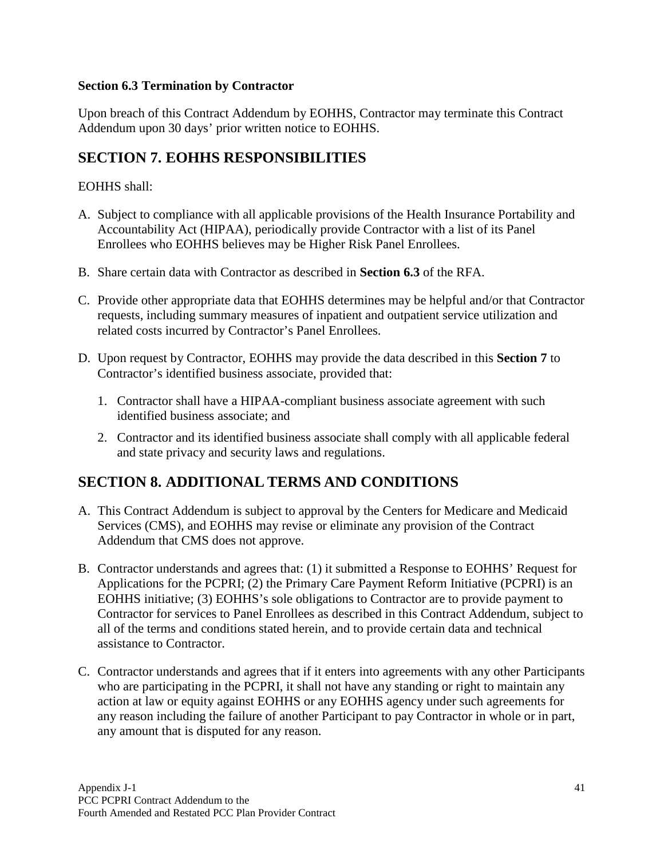### **Section 6.3 Termination by Contractor**

Upon breach of this Contract Addendum by EOHHS, Contractor may terminate this Contract Addendum upon 30 days' prior written notice to EOHHS.

# <span id="page-43-0"></span>**SECTION 7. EOHHS RESPONSIBILITIES**

### EOHHS shall:

- A. Subject to compliance with all applicable provisions of the Health Insurance Portability and Accountability Act (HIPAA), periodically provide Contractor with a list of its Panel Enrollees who EOHHS believes may be Higher Risk Panel Enrollees.
- B. Share certain data with Contractor as described in **Section 6.3** of the RFA.
- C. Provide other appropriate data that EOHHS determines may be helpful and/or that Contractor requests, including summary measures of inpatient and outpatient service utilization and related costs incurred by Contractor's Panel Enrollees.
- D. Upon request by Contractor, EOHHS may provide the data described in this **Section 7** to Contractor's identified business associate, provided that:
	- 1. Contractor shall have a HIPAA-compliant business associate agreement with such identified business associate; and
	- 2. Contractor and its identified business associate shall comply with all applicable federal and state privacy and security laws and regulations.

## <span id="page-43-1"></span>**SECTION 8. ADDITIONAL TERMS AND CONDITIONS**

- A. This Contract Addendum is subject to approval by the Centers for Medicare and Medicaid Services (CMS), and EOHHS may revise or eliminate any provision of the Contract Addendum that CMS does not approve.
- B. Contractor understands and agrees that: (1) it submitted a Response to EOHHS' Request for Applications for the PCPRI; (2) the Primary Care Payment Reform Initiative (PCPRI) is an EOHHS initiative; (3) EOHHS's sole obligations to Contractor are to provide payment to Contractor for services to Panel Enrollees as described in this Contract Addendum, subject to all of the terms and conditions stated herein, and to provide certain data and technical assistance to Contractor.
- C. Contractor understands and agrees that if it enters into agreements with any other Participants who are participating in the PCPRI, it shall not have any standing or right to maintain any action at law or equity against EOHHS or any EOHHS agency under such agreements for any reason including the failure of another Participant to pay Contractor in whole or in part, any amount that is disputed for any reason.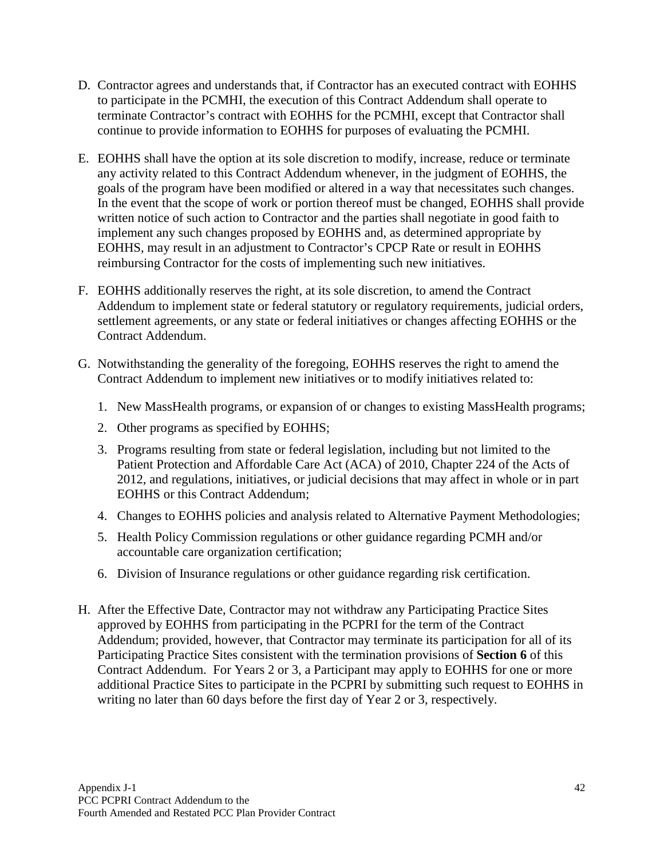- D. Contractor agrees and understands that, if Contractor has an executed contract with EOHHS to participate in the PCMHI, the execution of this Contract Addendum shall operate to terminate Contractor's contract with EOHHS for the PCMHI, except that Contractor shall continue to provide information to EOHHS for purposes of evaluating the PCMHI.
- E. EOHHS shall have the option at its sole discretion to modify, increase, reduce or terminate any activity related to this Contract Addendum whenever, in the judgment of EOHHS, the goals of the program have been modified or altered in a way that necessitates such changes. In the event that the scope of work or portion thereof must be changed, EOHHS shall provide written notice of such action to Contractor and the parties shall negotiate in good faith to implement any such changes proposed by EOHHS and, as determined appropriate by EOHHS, may result in an adjustment to Contractor's CPCP Rate or result in EOHHS reimbursing Contractor for the costs of implementing such new initiatives.
- F. EOHHS additionally reserves the right, at its sole discretion, to amend the Contract Addendum to implement state or federal statutory or regulatory requirements, judicial orders, settlement agreements, or any state or federal initiatives or changes affecting EOHHS or the Contract Addendum.
- G. Notwithstanding the generality of the foregoing, EOHHS reserves the right to amend the Contract Addendum to implement new initiatives or to modify initiatives related to:
	- 1. New MassHealth programs, or expansion of or changes to existing MassHealth programs;
	- 2. Other programs as specified by EOHHS;
	- 3. Programs resulting from state or federal legislation, including but not limited to the Patient Protection and Affordable Care Act (ACA) of 2010, Chapter 224 of the Acts of 2012, and regulations, initiatives, or judicial decisions that may affect in whole or in part EOHHS or this Contract Addendum;
	- 4. Changes to EOHHS policies and analysis related to Alternative Payment Methodologies;
	- 5. Health Policy Commission regulations or other guidance regarding PCMH and/or accountable care organization certification;
	- 6. Division of Insurance regulations or other guidance regarding risk certification.
- H. After the Effective Date, Contractor may not withdraw any Participating Practice Sites approved by EOHHS from participating in the PCPRI for the term of the Contract Addendum; provided, however, that Contractor may terminate its participation for all of its Participating Practice Sites consistent with the termination provisions of **Section 6** of this Contract Addendum. For Years 2 or 3, a Participant may apply to EOHHS for one or more additional Practice Sites to participate in the PCPRI by submitting such request to EOHHS in writing no later than 60 days before the first day of Year 2 or 3, respectively.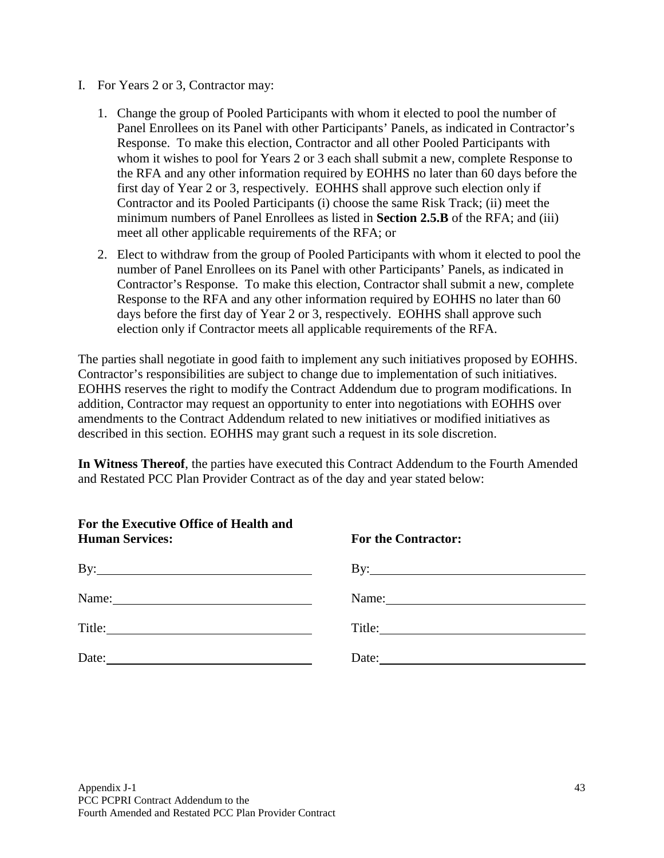- I. For Years 2 or 3, Contractor may:
	- 1. Change the group of Pooled Participants with whom it elected to pool the number of Panel Enrollees on its Panel with other Participants' Panels, as indicated in Contractor's Response. To make this election, Contractor and all other Pooled Participants with whom it wishes to pool for Years 2 or 3 each shall submit a new, complete Response to the RFA and any other information required by EOHHS no later than 60 days before the first day of Year 2 or 3, respectively. EOHHS shall approve such election only if Contractor and its Pooled Participants (i) choose the same Risk Track; (ii) meet the minimum numbers of Panel Enrollees as listed in **Section 2.5.B** of the RFA; and (iii) meet all other applicable requirements of the RFA; or
	- 2. Elect to withdraw from the group of Pooled Participants with whom it elected to pool the number of Panel Enrollees on its Panel with other Participants' Panels, as indicated in Contractor's Response. To make this election, Contractor shall submit a new, complete Response to the RFA and any other information required by EOHHS no later than 60 days before the first day of Year 2 or 3, respectively. EOHHS shall approve such election only if Contractor meets all applicable requirements of the RFA.

The parties shall negotiate in good faith to implement any such initiatives proposed by EOHHS. Contractor's responsibilities are subject to change due to implementation of such initiatives. EOHHS reserves the right to modify the Contract Addendum due to program modifications. In addition, Contractor may request an opportunity to enter into negotiations with EOHHS over amendments to the Contract Addendum related to new initiatives or modified initiatives as described in this section. EOHHS may grant such a request in its sole discretion.

**In Witness Thereof**, the parties have executed this Contract Addendum to the Fourth Amended and Restated PCC Plan Provider Contract as of the day and year stated below:

| For the Executive Office of Health and<br><b>Human Services:</b>                                                              | <b>For the Contractor:</b>   |
|-------------------------------------------------------------------------------------------------------------------------------|------------------------------|
|                                                                                                                               | By: $\overline{\phantom{a}}$ |
| Name: Name:                                                                                                                   |                              |
|                                                                                                                               |                              |
| Date:<br><u> 1980 - Johann Barbara, martin amerikan basar dan basa dan basar dalam basa dalam basa dalam basa dalam basa </u> | Date:                        |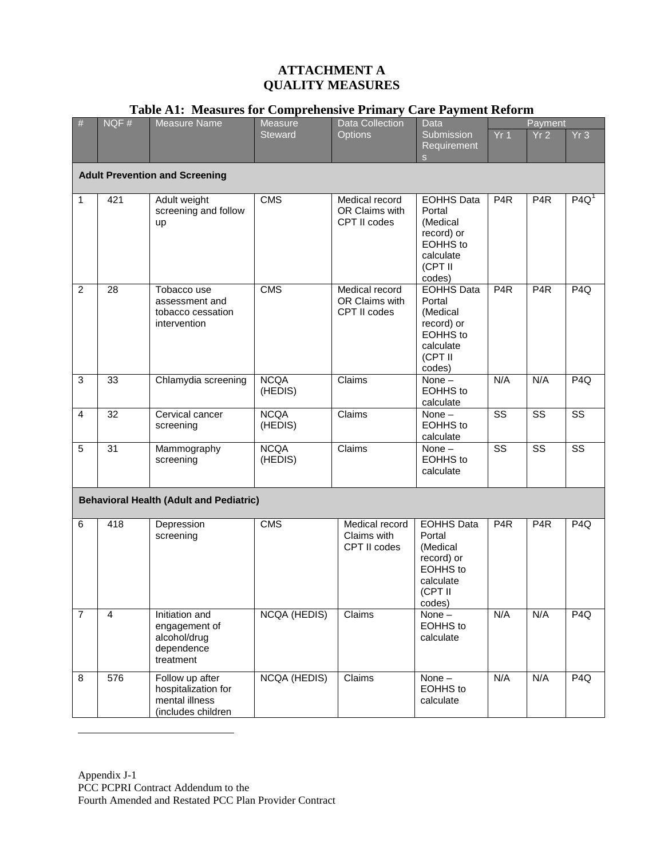#### **ATTACHMENT A QUALITY MEASURES**

| #                                              | NQF#           | <b>Measure Name</b>                                                            | <b>Measure</b>         | <b>Data Collection</b>                           | $\sim$ $\sim$ $\sim$ $\sim$ $\sim$ $\sim$<br>Data                                                          |                        | Payment                |                        |
|------------------------------------------------|----------------|--------------------------------------------------------------------------------|------------------------|--------------------------------------------------|------------------------------------------------------------------------------------------------------------|------------------------|------------------------|------------------------|
|                                                |                |                                                                                | <b>Steward</b>         | <b>Options</b>                                   | Submission<br>Requirement<br>S                                                                             | Yr1                    | Yr2                    | Yr3                    |
|                                                |                | <b>Adult Prevention and Screening</b>                                          |                        |                                                  |                                                                                                            |                        |                        |                        |
| 1                                              | 421            | Adult weight<br>screening and follow<br>up                                     | <b>CMS</b>             | Medical record<br>OR Claims with<br>CPT II codes | <b>EOHHS Data</b><br>Portal<br>(Medical<br>record) or<br><b>EOHHS</b> to<br>calculate<br>(CPT II<br>codes) | P <sub>4</sub> R       | P <sub>4</sub> R       | P4Q <sup>1</sup>       |
| $\overline{2}$                                 | 28             | Tobacco use<br>assessment and<br>tobacco cessation<br>intervention             | <b>CMS</b>             | Medical record<br>OR Claims with<br>CPT II codes | <b>EOHHS Data</b><br>Portal<br>(Medical<br>record) or<br><b>EOHHS</b> to<br>calculate<br>(CPT II<br>codes) | P <sub>4</sub> R       | P <sub>4</sub> R       | P <sub>4Q</sub>        |
| 3                                              | 33             | Chlamydia screening                                                            | <b>NCQA</b><br>(HEDIS) | Claims                                           | None-<br><b>EOHHS</b> to<br>calculate                                                                      | N/A                    | N/A                    | P4Q                    |
| $\overline{4}$                                 | 32             | Cervical cancer<br>screening                                                   | <b>NCQA</b><br>(HEDIS) | Claims                                           | None-<br><b>EOHHS</b> to<br>calculate                                                                      | $\overline{\text{ss}}$ | $\overline{\text{ss}}$ | $\overline{\text{ss}}$ |
| 5                                              | 31             | Mammography<br>screening                                                       | <b>NCQA</b><br>(HEDIS) | Claims                                           | None $-$<br><b>EOHHS</b> to<br>calculate                                                                   | $\overline{\text{ss}}$ | $\overline{\text{ss}}$ | $\overline{\text{ss}}$ |
| <b>Behavioral Health (Adult and Pediatric)</b> |                |                                                                                |                        |                                                  |                                                                                                            |                        |                        |                        |
| 6                                              | 418            | Depression<br>screening                                                        | <b>CMS</b>             | Medical record<br>Claims with<br>CPT II codes    | <b>EOHHS Data</b><br>Portal<br>(Medical<br>record) or<br><b>EOHHS</b> to<br>calculate<br>(CPT II<br>codes) | P <sub>4</sub> R       | P <sub>4</sub> R       | P <sub>4Q</sub>        |
| $\overline{7}$                                 | $\overline{4}$ | Initiation and<br>engagement of<br>alcohol/drug<br>dependence<br>treatment     | <b>NCQA (HEDIS)</b>    | Claims                                           | None-<br>EOHHS to<br>calculate                                                                             | N/A                    | N/A                    | P <sub>4Q</sub>        |
| 8                                              | 576            | Follow up after<br>hospitalization for<br>mental illness<br>(includes children | <b>NCQA (HEDIS)</b>    | Claims                                           | None-<br><b>EOHHS</b> to<br>calculate                                                                      | N/A                    | N/A                    | P4Q                    |

### **Table A1: Measures for Comprehensive Primary Care Payment Reform**

<span id="page-46-0"></span> $\overline{a}$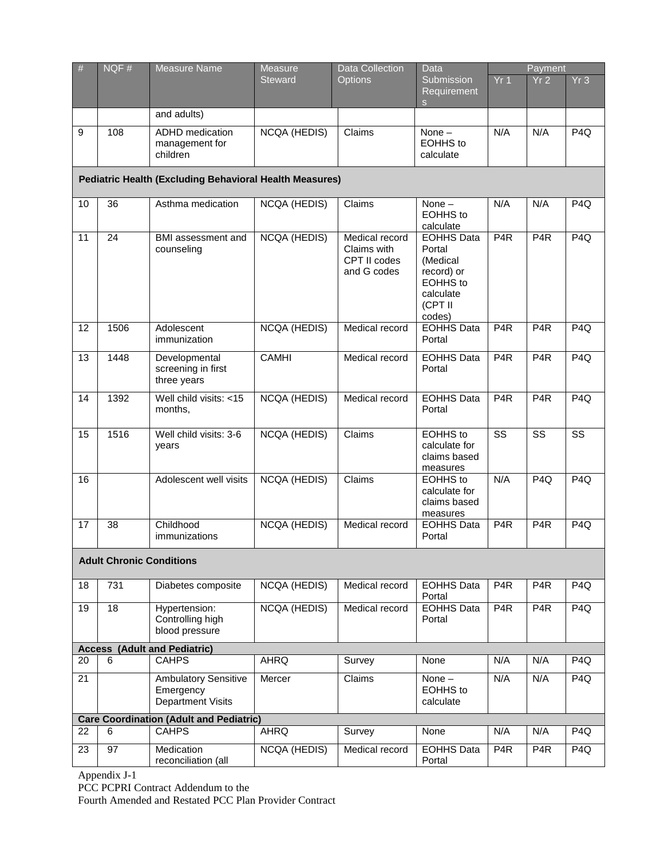| $\#$                                           | NQF# | <b>Measure Name</b>                                                  | Measure             | <b>Data Collection</b>                                       | Data                                                                                                       | Payment                |                        |                        |
|------------------------------------------------|------|----------------------------------------------------------------------|---------------------|--------------------------------------------------------------|------------------------------------------------------------------------------------------------------------|------------------------|------------------------|------------------------|
|                                                |      |                                                                      | <b>Steward</b>      | <b>Options</b>                                               | Submission<br>Requirement<br><sub>S</sub>                                                                  | Yr <sub>1</sub>        | Yr <sub>2</sub>        | Yr3                    |
|                                                |      | and adults)                                                          |                     |                                                              |                                                                                                            |                        |                        |                        |
| 9                                              | 108  | ADHD medication<br>management for<br>children                        | <b>NCQA (HEDIS)</b> | Claims                                                       | None $-$<br><b>EOHHS</b> to<br>calculate                                                                   | N/A                    | N/A                    | P <sub>4Q</sub>        |
|                                                |      | <b>Pediatric Health (Excluding Behavioral Health Measures)</b>       |                     |                                                              |                                                                                                            |                        |                        |                        |
| 10                                             | 36   | Asthma medication                                                    | <b>NCQA (HEDIS)</b> | Claims                                                       | None $-$<br><b>EOHHS</b> to<br>calculate                                                                   | N/A                    | N/A                    | P <sub>4Q</sub>        |
| 11                                             | 24   | BMI assessment and<br>counseling                                     | <b>NCQA (HEDIS)</b> | Medical record<br>Claims with<br>CPT II codes<br>and G codes | <b>EOHHS Data</b><br>Portal<br>(Medical<br>record) or<br><b>EOHHS</b> to<br>calculate<br>(CPT II<br>codes) | P <sub>4</sub> R       | P <sub>4</sub> R       | P <sub>4Q</sub>        |
| 12                                             | 1506 | Adolescent<br>immunization                                           | <b>NCQA (HEDIS)</b> | Medical record                                               | <b>EOHHS Data</b><br>Portal                                                                                | P <sub>4</sub> R       | P <sub>4</sub> R       | P <sub>4Q</sub>        |
| 13                                             | 1448 | Developmental<br>screening in first<br>three years                   | <b>CAMHI</b>        | Medical record                                               | <b>EOHHS Data</b><br>Portal                                                                                | P4R                    | P4R                    | P4Q                    |
| 14                                             | 1392 | Well child visits: <15<br>months,                                    | <b>NCQA (HEDIS)</b> | Medical record                                               | <b>EOHHS Data</b><br>Portal                                                                                | P <sub>4</sub> R       | $\overline{P4R}$       | P4Q                    |
| 15                                             | 1516 | Well child visits: 3-6<br>years                                      | <b>NCQA (HEDIS)</b> | Claims                                                       | <b>EOHHS</b> to<br>calculate for<br>claims based<br>measures                                               | $\overline{\text{ss}}$ | $\overline{\text{ss}}$ | $\overline{\text{ss}}$ |
| 16                                             |      | Adolescent well visits                                               | <b>NCQA (HEDIS)</b> | Claims                                                       | <b>EOHHS</b> to<br>calculate for<br>claims based<br>measures                                               | N/A                    | P4Q                    | P4Q                    |
| 17                                             | 38   | Childhood<br>immunizations                                           | <b>NCQA (HEDIS)</b> | Medical record                                               | <b>EOHHS Data</b><br>Portal                                                                                | P <sub>4</sub> R       | P4R                    | P <sub>4Q</sub>        |
| <b>Adult Chronic Conditions</b>                |      |                                                                      |                     |                                                              |                                                                                                            |                        |                        |                        |
| 18                                             | 731  | Diabetes composite                                                   | <b>NCQA (HEDIS)</b> | Medical record                                               | <b>EOHHS Data</b><br>Portal                                                                                | P <sub>4</sub> R       | P <sub>4</sub> R       | P <sub>4Q</sub>        |
| 19                                             | 18   | Hypertension:<br>Controlling high<br>blood pressure                  | <b>NCQA (HEDIS)</b> | Medical record                                               | <b>EOHHS Data</b><br>Portal                                                                                | P <sub>4</sub> R       | P <sub>4</sub> R       | P <sub>4Q</sub>        |
| (Adult and Pediatric)<br><b>Access</b>         |      |                                                                      |                     |                                                              |                                                                                                            |                        |                        |                        |
| 20                                             | 6    | <b>CAHPS</b>                                                         | <b>AHRQ</b>         | Survey                                                       | None                                                                                                       | N/A                    | N/A                    | P <sub>4Q</sub>        |
| 21                                             |      | <b>Ambulatory Sensitive</b><br>Emergency<br><b>Department Visits</b> | Mercer              | Claims                                                       | None $-$<br>EOHHS to<br>calculate                                                                          | N/A                    | N/A                    | P <sub>4Q</sub>        |
| <b>Care Coordination (Adult and Pediatric)</b> |      |                                                                      |                     |                                                              |                                                                                                            |                        |                        |                        |
| 22                                             | 6    | <b>CAHPS</b>                                                         | <b>AHRQ</b>         | Survey                                                       | None                                                                                                       | N/A                    | N/A                    | P <sub>4Q</sub>        |
| 23                                             | 97   | Medication<br>reconciliation (all                                    | <b>NCQA (HEDIS)</b> | Medical record                                               | <b>EOHHS Data</b><br>Portal                                                                                | P <sub>4</sub> R       | P <sub>4</sub> R       | P <sub>4Q</sub>        |

Appendix J-1

PCC PCPRI Contract Addendum to the

Fourth Amended and Restated PCC Plan Provider Contract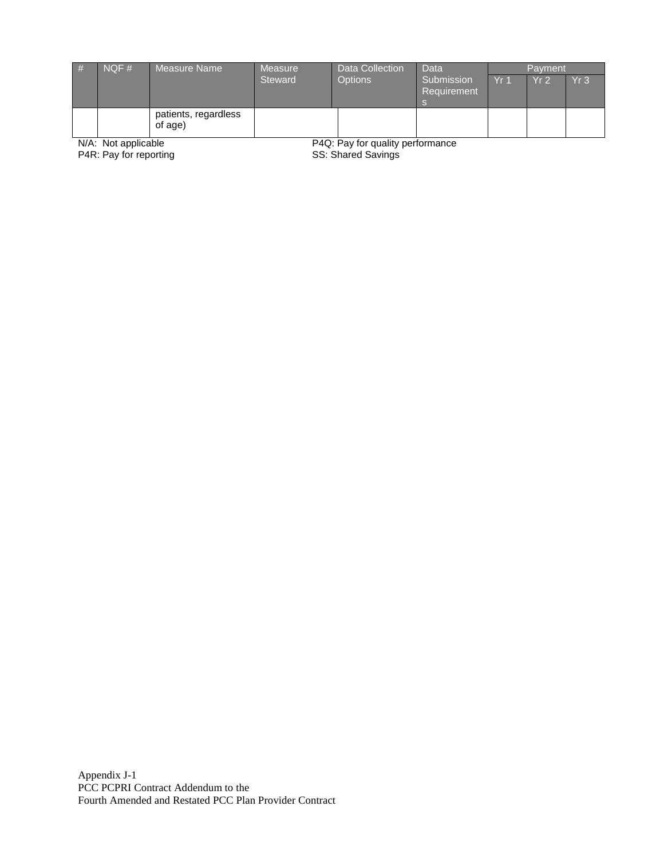| # | NOF# | Measure Name                    | Measure        | Data Collection | Data                      |                             | Payment         |                 |
|---|------|---------------------------------|----------------|-----------------|---------------------------|-----------------------------|-----------------|-----------------|
|   |      |                                 | <b>Steward</b> | <b>Options</b>  | Submission<br>Requirement | $\overline{\mathsf{Y}}$ r 1 | Yr <sub>2</sub> | Yr <sub>3</sub> |
|   | .    | patients, regardless<br>of age) | - - - -        |                 |                           |                             |                 |                 |

N/A: Not applicable<br>P4R: Pay for reporting

P4Q: Pay for quality performance<br>SS: Shared Savings